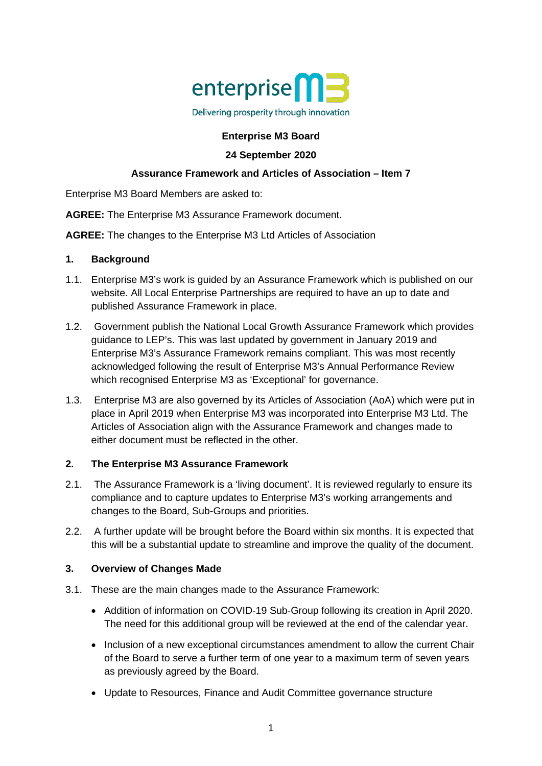

## **Enterprise M3 Board**

## **24 September 2020**

## **Assurance Framework and Articles of Association – Item 7**

Enterprise M3 Board Members are asked to:

**AGREE:** The Enterprise M3 Assurance Framework document.

**AGREE:** The changes to the Enterprise M3 Ltd Articles of Association

## **1. Background**

- 1.1. Enterprise M3's work is guided by an Assurance Framework which is published on our website. All Local Enterprise Partnerships are required to have an up to date and published Assurance Framework in place.
- 1.2. Government publish the National Local Growth Assurance Framework which provides guidance to LEP's. This was last updated by government in January 2019 and Enterprise M3's Assurance Framework remains compliant. This was most recently acknowledged following the result of Enterprise M3's Annual Performance Review which recognised Enterprise M3 as 'Exceptional' for governance.
- 1.3. Enterprise M3 are also governed by its Articles of Association (AoA) which were put in place in April 2019 when Enterprise M3 was incorporated into Enterprise M3 Ltd. The Articles of Association align with the Assurance Framework and changes made to either document must be reflected in the other.

## **2. The Enterprise M3 Assurance Framework**

- 2.1. The Assurance Framework is a 'living document'. It is reviewed regularly to ensure its compliance and to capture updates to Enterprise M3's working arrangements and changes to the Board, Sub-Groups and priorities.
- 2.2. A further update will be brought before the Board within six months. It is expected that this will be a substantial update to streamline and improve the quality of the document.

## **3. Overview of Changes Made**

- 3.1. These are the main changes made to the Assurance Framework:
	- Addition of information on COVID-19 Sub-Group following its creation in April 2020. The need for this additional group will be reviewed at the end of the calendar year.
	- Inclusion of a new exceptional circumstances amendment to allow the current Chair of the Board to serve a further term of one year to a maximum term of seven years as previously agreed by the Board.
	- Update to Resources, Finance and Audit Committee governance structure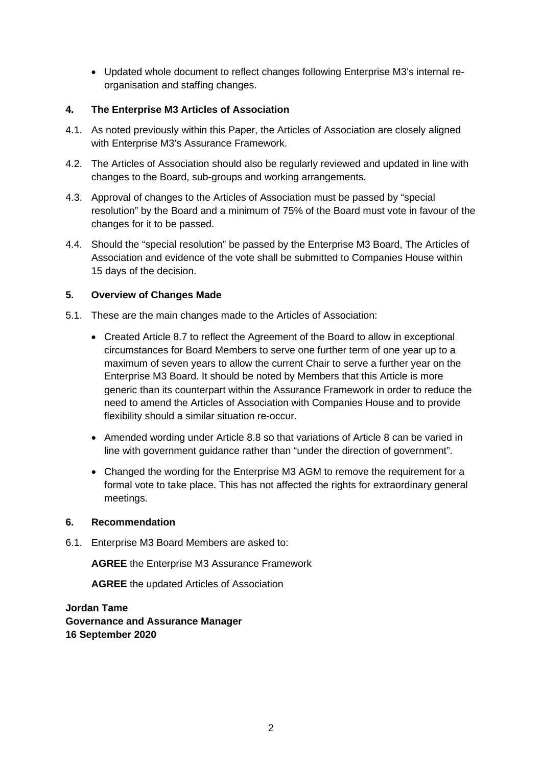• Updated whole document to reflect changes following Enterprise M3's internal reorganisation and staffing changes.

## **4. The Enterprise M3 Articles of Association**

- 4.1. As noted previously within this Paper, the Articles of Association are closely aligned with Enterprise M3's Assurance Framework.
- 4.2. The Articles of Association should also be regularly reviewed and updated in line with changes to the Board, sub-groups and working arrangements.
- 4.3. Approval of changes to the Articles of Association must be passed by "special resolution" by the Board and a minimum of 75% of the Board must vote in favour of the changes for it to be passed.
- 4.4. Should the "special resolution" be passed by the Enterprise M3 Board, The Articles of Association and evidence of the vote shall be submitted to Companies House within 15 days of the decision.

## **5. Overview of Changes Made**

- 5.1. These are the main changes made to the Articles of Association:
	- Created Article 8.7 to reflect the Agreement of the Board to allow in exceptional circumstances for Board Members to serve one further term of one year up to a maximum of seven years to allow the current Chair to serve a further year on the Enterprise M3 Board. It should be noted by Members that this Article is more generic than its counterpart within the Assurance Framework in order to reduce the need to amend the Articles of Association with Companies House and to provide flexibility should a similar situation re-occur.
	- Amended wording under Article 8.8 so that variations of Article 8 can be varied in line with government guidance rather than "under the direction of government".
	- Changed the wording for the Enterprise M3 AGM to remove the requirement for a formal vote to take place. This has not affected the rights for extraordinary general meetings.

## **6. Recommendation**

6.1. Enterprise M3 Board Members are asked to:

**AGREE** the Enterprise M3 Assurance Framework

**AGREE** the updated Articles of Association

**Jordan Tame Governance and Assurance Manager 16 September 2020**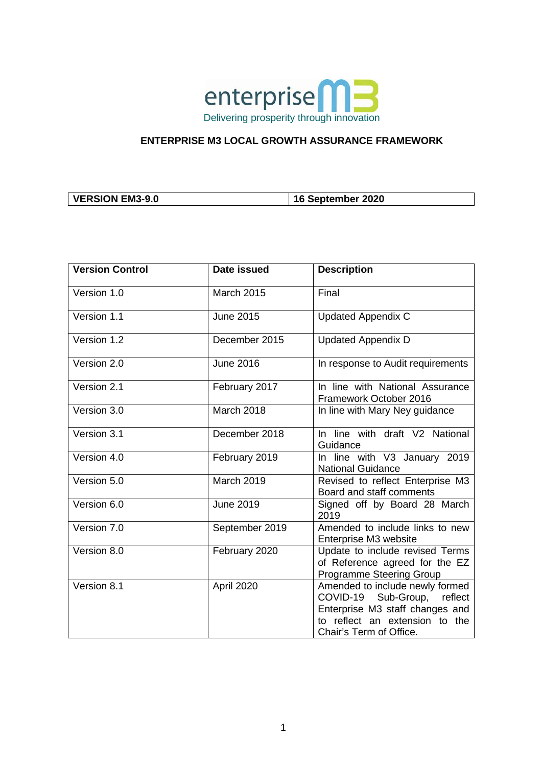

## **ENTERPRISE M3 LOCAL GROWTH ASSURANCE FRAMEWORK**

|--|

| <b>Version Control</b> | Date issued      | <b>Description</b>                                                                                                                                             |
|------------------------|------------------|----------------------------------------------------------------------------------------------------------------------------------------------------------------|
| Version 1.0            | March 2015       | Final                                                                                                                                                          |
| Version 1.1            | <b>June 2015</b> | <b>Updated Appendix C</b>                                                                                                                                      |
| Version 1.2            | December 2015    | <b>Updated Appendix D</b>                                                                                                                                      |
| Version 2.0            | <b>June 2016</b> | In response to Audit requirements                                                                                                                              |
| Version 2.1            | February 2017    | In line with National Assurance<br>Framework October 2016                                                                                                      |
| Version 3.0            | March 2018       | In line with Mary Ney guidance                                                                                                                                 |
| Version 3.1            | December 2018    | In line with draft V2 National<br>Guidance                                                                                                                     |
| Version 4.0            | February 2019    | In line with V3 January 2019<br><b>National Guidance</b>                                                                                                       |
| Version 5.0            | March 2019       | Revised to reflect Enterprise M3<br>Board and staff comments                                                                                                   |
| Version 6.0            | <b>June 2019</b> | Signed off by Board 28 March<br>2019                                                                                                                           |
| Version 7.0            | September 2019   | Amended to include links to new<br>Enterprise M3 website                                                                                                       |
| Version 8.0            | February 2020    | Update to include revised Terms<br>of Reference agreed for the EZ<br><b>Programme Steering Group</b>                                                           |
| Version 8.1            | April 2020       | Amended to include newly formed<br>COVID-19 Sub-Group, reflect<br>Enterprise M3 staff changes and<br>to reflect an extension to the<br>Chair's Term of Office. |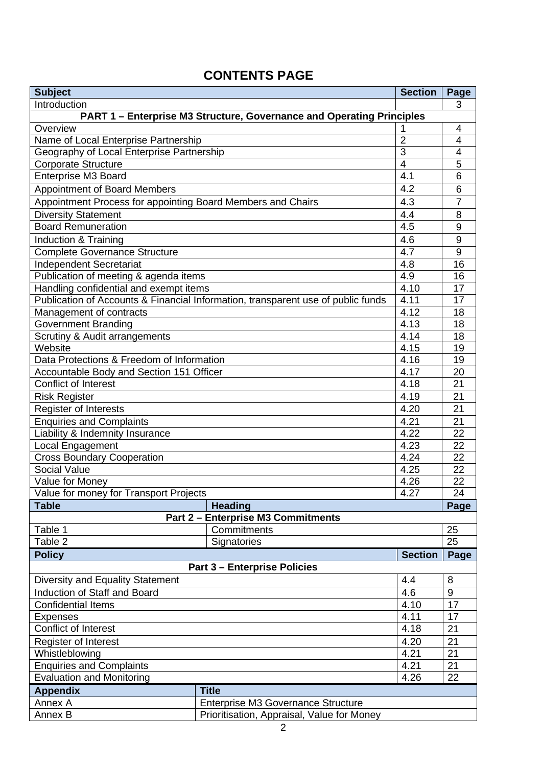# **CONTENTS PAGE**

| <b>Subject</b>                                              |                                                                                  | <b>Section</b> | Page           |
|-------------------------------------------------------------|----------------------------------------------------------------------------------|----------------|----------------|
| Introduction                                                |                                                                                  | 3              |                |
|                                                             | <b>PART 1 – Enterprise M3 Structure, Governance and Operating Principles</b>     |                |                |
| Overview                                                    |                                                                                  | 1              | 4              |
| Name of Local Enterprise Partnership                        |                                                                                  | $\overline{2}$ | $\overline{4}$ |
| Geography of Local Enterprise Partnership                   |                                                                                  | 3              | $\overline{4}$ |
| <b>Corporate Structure</b>                                  |                                                                                  | $\overline{4}$ | 5              |
| Enterprise M3 Board                                         |                                                                                  | 4.1            | 6              |
| <b>Appointment of Board Members</b>                         |                                                                                  | 4.2            | 6              |
| Appointment Process for appointing Board Members and Chairs |                                                                                  | 4.3            | 7              |
| <b>Diversity Statement</b>                                  |                                                                                  | 4.4            | 8              |
| <b>Board Remuneration</b>                                   |                                                                                  | 4.5            | 9              |
| Induction & Training                                        |                                                                                  | 4.6            | 9              |
| <b>Complete Governance Structure</b>                        |                                                                                  | 4.7            | 9              |
| <b>Independent Secretariat</b>                              |                                                                                  | 4.8            | 16             |
| Publication of meeting & agenda items                       |                                                                                  | 4.9            | 16             |
| Handling confidential and exempt items                      |                                                                                  | 4.10           | 17             |
|                                                             | Publication of Accounts & Financial Information, transparent use of public funds | 4.11           | 17             |
| Management of contracts                                     |                                                                                  | 4.12           | 18             |
| Government Branding                                         |                                                                                  | 4.13           | 18             |
| Scrutiny & Audit arrangements                               |                                                                                  | 4.14           | 18             |
| Website                                                     |                                                                                  | 4.15           | 19             |
| Data Protections & Freedom of Information<br>4.16           |                                                                                  |                | 19             |
| Accountable Body and Section 151 Officer                    |                                                                                  | 4.17           | 20             |
| Conflict of Interest<br>4.18                                |                                                                                  | 21             |                |
| 4.19<br><b>Risk Register</b>                                |                                                                                  | 21             |                |
| Register of Interests<br>4.20                               |                                                                                  |                | 21             |
| <b>Enquiries and Complaints</b><br>4.21                     |                                                                                  | 21             |                |
| Liability & Indemnity Insurance<br>4.22                     |                                                                                  | 22             |                |
| 4.23<br>Local Engagement                                    |                                                                                  | 22             |                |
| 4.24<br><b>Cross Boundary Cooperation</b>                   |                                                                                  | 22             |                |
| <b>Social Value</b><br>4.25                                 |                                                                                  | 22             |                |
| Value for Money<br>4.26                                     |                                                                                  | 22             |                |
| 4.27<br>Value for money for Transport Projects              |                                                                                  | 24             |                |
| <b>Table</b>                                                | <b>Heading</b>                                                                   |                | Page           |
|                                                             | <b>Part 2 - Enterprise M3 Commitments</b>                                        |                |                |
| Table 1                                                     | Commitments                                                                      |                | 25             |
| Table 2                                                     | Signatories                                                                      |                | 25             |
| <b>Policy</b>                                               |                                                                                  | <b>Section</b> | Page           |
|                                                             | <b>Part 3 - Enterprise Policies</b>                                              |                |                |
| Diversity and Equality Statement                            |                                                                                  | 4.4            | 8              |
| Induction of Staff and Board                                |                                                                                  | 4.6            | $9\,$          |
| <b>Confidential Items</b>                                   |                                                                                  | 4.10           | 17             |
| <b>Expenses</b>                                             |                                                                                  | 4.11           | 17             |
| Conflict of Interest                                        |                                                                                  | 4.18           | 21             |
| <b>Register of Interest</b><br>4.20                         |                                                                                  |                | 21             |
| Whistleblowing<br>4.21                                      |                                                                                  | 21             |                |
| 4.21<br><b>Enquiries and Complaints</b>                     |                                                                                  | 21             |                |
| <b>Evaluation and Monitoring</b><br>4.26                    |                                                                                  | 22             |                |
| <b>Appendix</b>                                             | <b>Title</b>                                                                     |                |                |
| Annex A                                                     | Enterprise M3 Governance Structure                                               |                |                |
| Annex B                                                     | Prioritisation, Appraisal, Value for Money                                       |                |                |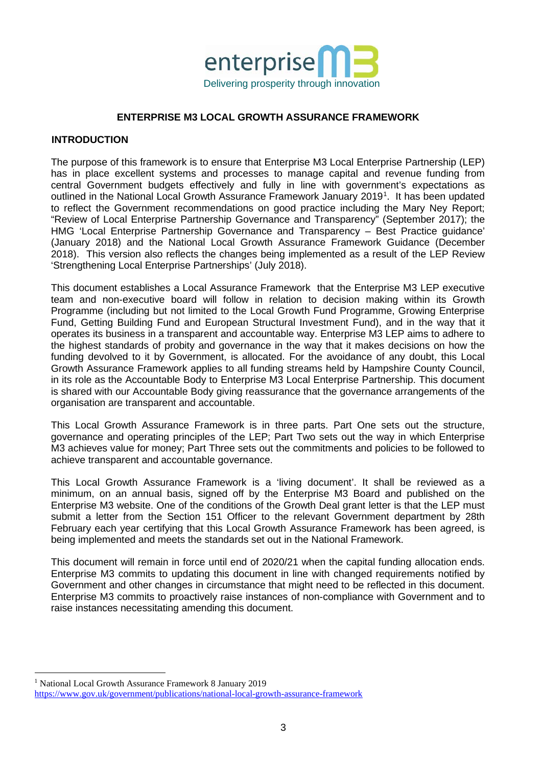

## **ENTERPRISE M3 LOCAL GROWTH ASSURANCE FRAMEWORK**

### **INTRODUCTION**

The purpose of this framework is to ensure that Enterprise M3 Local Enterprise Partnership (LEP) has in place excellent systems and processes to manage capital and revenue funding from central Government budgets effectively and fully in line with government's expectations as outlined in the National Local Growth Assurance Framework January 20[1](#page-4-0)9<sup>1</sup>. It has been updated to reflect the Government recommendations on good practice including the Mary Ney Report; "Review of Local Enterprise Partnership Governance and Transparency" (September 2017); the HMG 'Local Enterprise Partnership Governance and Transparency – Best Practice guidance' (January 2018) and the National Local Growth Assurance Framework Guidance (December 2018). This version also reflects the changes being implemented as a result of the LEP Review 'Strengthening Local Enterprise Partnerships' (July 2018).

This document establishes a Local Assurance Framework that the Enterprise M3 LEP executive team and non-executive board will follow in relation to decision making within its Growth Programme (including but not limited to the Local Growth Fund Programme, Growing Enterprise Fund, Getting Building Fund and European Structural Investment Fund), and in the way that it operates its business in a transparent and accountable way. Enterprise M3 LEP aims to adhere to the highest standards of probity and governance in the way that it makes decisions on how the funding devolved to it by Government, is allocated. For the avoidance of any doubt, this Local Growth Assurance Framework applies to all funding streams held by Hampshire County Council, in its role as the Accountable Body to Enterprise M3 Local Enterprise Partnership. This document is shared with our Accountable Body giving reassurance that the governance arrangements of the organisation are transparent and accountable.

This Local Growth Assurance Framework is in three parts. Part One sets out the structure, governance and operating principles of the LEP; Part Two sets out the way in which Enterprise M3 achieves value for money; Part Three sets out the commitments and policies to be followed to achieve transparent and accountable governance.

This Local Growth Assurance Framework is a 'living document'. It shall be reviewed as a minimum, on an annual basis, signed off by the Enterprise M3 Board and published on the Enterprise M3 website. One of the conditions of the Growth Deal grant letter is that the LEP must submit a letter from the Section 151 Officer to the relevant Government department by 28th February each year certifying that this Local Growth Assurance Framework has been agreed, is being implemented and meets the standards set out in the National Framework.

This document will remain in force until end of 2020/21 when the capital funding allocation ends. Enterprise M3 commits to updating this document in line with changed requirements notified by Government and other changes in circumstance that might need to be reflected in this document. Enterprise M3 commits to proactively raise instances of non-compliance with Government and to raise instances necessitating amending this document.

<span id="page-4-0"></span><sup>&</sup>lt;sup>1</sup> National Local Growth Assurance Framework 8 January 2019 <https://www.gov.uk/government/publications/national-local-growth-assurance-framework>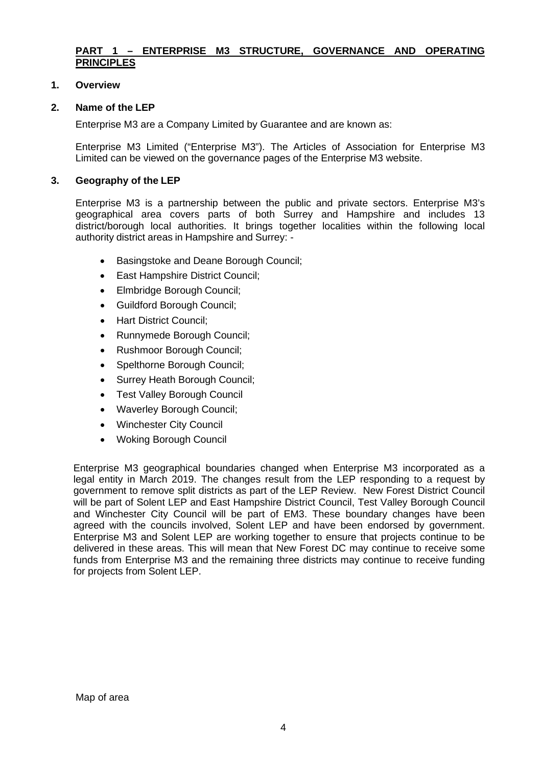## **PART 1 – ENTERPRISE M3 STRUCTURE, GOVERNANCE AND OPERATING PRINCIPLES**

## **1. Overview**

## **2. Name of the LEP**

Enterprise M3 are a Company Limited by Guarantee and are known as:

Enterprise M3 Limited ("Enterprise M3"). The Articles of Association for Enterprise M3 Limited can be viewed on the governance pages of the Enterprise M3 website.

## **3. Geography of the LEP**

Enterprise M3 is a partnership between the public and private sectors. Enterprise M3's geographical area covers parts of both Surrey and Hampshire and includes 13 district/borough local authorities. It brings together localities within the following local authority district areas in Hampshire and Surrey: -

- Basingstoke and Deane Borough Council;
- East Hampshire District Council;
- Elmbridge Borough Council;
- Guildford Borough Council;
- Hart District Council;
- Runnymede Borough Council;
- Rushmoor Borough Council;
- Spelthorne Borough Council;
- Surrey Heath Borough Council;
- Test Valley Borough Council
- Waverley Borough Council;
- Winchester City Council
- Woking Borough Council

Enterprise M3 geographical boundaries changed when Enterprise M3 incorporated as a legal entity in March 2019. The changes result from the LEP responding to a request by government to remove split districts as part of the LEP Review. New Forest District Council will be part of Solent LEP and East Hampshire District Council, Test Valley Borough Council and Winchester City Council will be part of EM3. These boundary changes have been agreed with the councils involved, Solent LEP and have been endorsed by government. Enterprise M3 and Solent LEP are working together to ensure that projects continue to be delivered in these areas. This will mean that New Forest DC may continue to receive some funds from Enterprise M3 and the remaining three districts may continue to receive funding for projects from Solent LEP.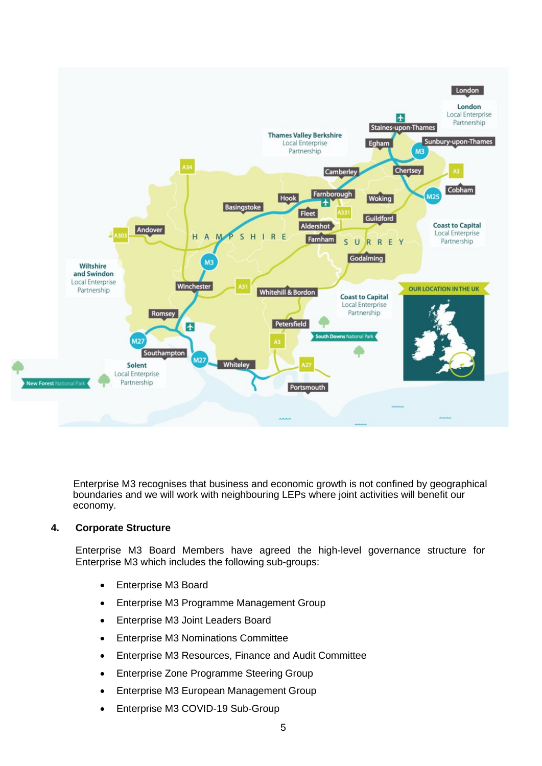

Enterprise M3 recognises that business and economic growth is not confined by geographical boundaries and we will work with neighbouring LEPs where joint activities will benefit our economy.

## **4. Corporate Structure**

Enterprise M3 Board Members have agreed the high-level governance structure for Enterprise M3 which includes the following sub-groups:

- Enterprise M3 Board
- Enterprise M3 Programme Management Group
- Enterprise M3 Joint Leaders Board
- Enterprise M3 Nominations Committee
- Enterprise M3 Resources, Finance and Audit Committee
- Enterprise Zone Programme Steering Group
- Enterprise M3 European Management Group
- Enterprise M3 COVID-19 Sub-Group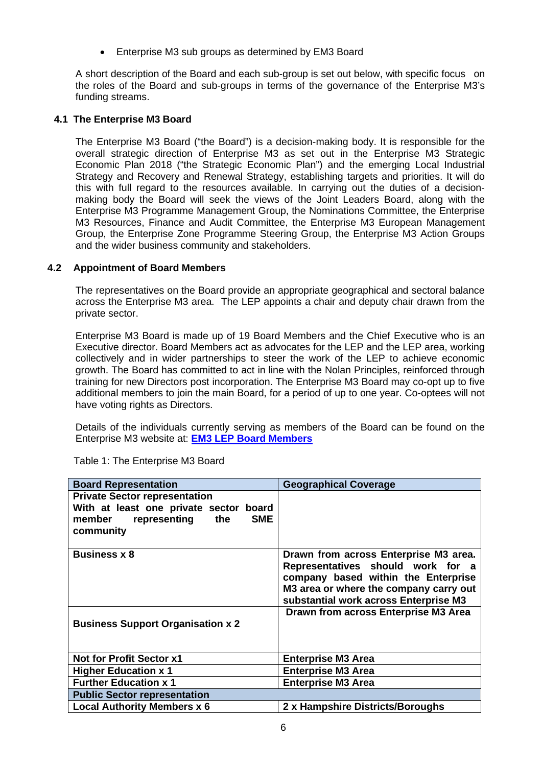• Enterprise M3 sub groups as determined by EM3 Board

A short description of the Board and each sub-group is set out below, with specific focus on the roles of the Board and sub-groups in terms of the governance of the Enterprise M3's funding streams.

## **4.1 The Enterprise M3 Board**

The Enterprise M3 Board ("the Board") is a decision-making body. It is responsible for the overall strategic direction of Enterprise M3 as set out in the Enterprise M3 Strategic Economic Plan 2018 ("the Strategic Economic Plan") and the emerging Local Industrial Strategy and Recovery and Renewal Strategy, establishing targets and priorities. It will do this with full regard to the resources available. In carrying out the duties of a decisionmaking body the Board will seek the views of the Joint Leaders Board, along with the Enterprise M3 Programme Management Group, the Nominations Committee, the Enterprise M3 Resources, Finance and Audit Committee, the Enterprise M3 European Management Group, the Enterprise Zone Programme Steering Group, the Enterprise M3 Action Groups and the wider business community and stakeholders.

## **4.2 Appointment of Board Members**

The representatives on the Board provide an appropriate geographical and sectoral balance across the Enterprise M3 area. The LEP appoints a chair and deputy chair drawn from the private sector.

Enterprise M3 Board is made up of 19 Board Members and the Chief Executive who is an Executive director. Board Members act as advocates for the LEP and the LEP area, working collectively and in wider partnerships to steer the work of the LEP to achieve economic growth. The Board has committed to act in line with the Nolan Principles, reinforced through training for new Directors post incorporation. The Enterprise M3 Board may co-opt up to five additional members to join the main Board, for a period of up to one year. Co-optees will not have voting rights as Directors.

Details of the individuals currently serving as members of the Board can be found on the Enterprise M3 website at: **[EM3 LEP Board Members](https://www.enterprisem3.org.uk/people/board)**

| <b>Geographical Coverage</b>           |
|----------------------------------------|
|                                        |
|                                        |
|                                        |
|                                        |
| Drawn from across Enterprise M3 area.  |
| Representatives should work for a      |
| company based within the Enterprise    |
| M3 area or where the company carry out |
| substantial work across Enterprise M3  |
| Drawn from across Enterprise M3 Area   |
|                                        |
|                                        |
|                                        |
| <b>Enterprise M3 Area</b>              |
| <b>Enterprise M3 Area</b>              |
| <b>Enterprise M3 Area</b>              |
|                                        |
| 2 x Hampshire Districts/Boroughs       |
|                                        |

Table 1: The Enterprise M3 Board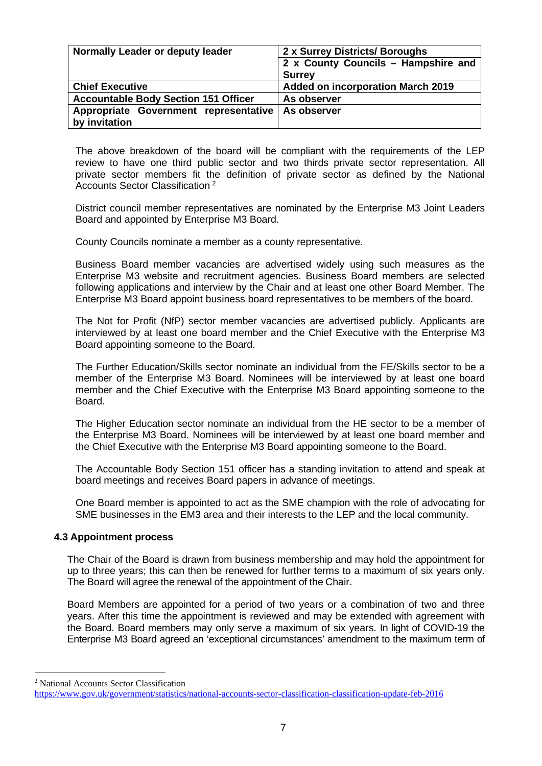| Normally Leader or deputy leader            | 2 x Surrey Districts/ Boroughs           |  |
|---------------------------------------------|------------------------------------------|--|
|                                             | 2 x County Councils - Hampshire and      |  |
|                                             | <b>Surrey</b>                            |  |
| <b>Chief Executive</b>                      | <b>Added on incorporation March 2019</b> |  |
| <b>Accountable Body Section 151 Officer</b> | As observer                              |  |
| Appropriate Government representative       | As observer                              |  |
| by invitation                               |                                          |  |

The above breakdown of the board will be compliant with the requirements of the LEP review to have one third public sector and two thirds private sector representation. All private sector members fit the definition of private sector as defined by the National Accounts Sector Classification [2](#page-8-0)

District council member representatives are nominated by the Enterprise M3 Joint Leaders Board and appointed by Enterprise M3 Board.

County Councils nominate a member as a county representative.

Business Board member vacancies are advertised widely using such measures as the Enterprise M3 website and recruitment agencies. Business Board members are selected following applications and interview by the Chair and at least one other Board Member. The Enterprise M3 Board appoint business board representatives to be members of the board.

The Not for Profit (NfP) sector member vacancies are advertised publicly. Applicants are interviewed by at least one board member and the Chief Executive with the Enterprise M3 Board appointing someone to the Board.

The Further Education/Skills sector nominate an individual from the FE/Skills sector to be a member of the Enterprise M3 Board. Nominees will be interviewed by at least one board member and the Chief Executive with the Enterprise M3 Board appointing someone to the Board.

The Higher Education sector nominate an individual from the HE sector to be a member of the Enterprise M3 Board. Nominees will be interviewed by at least one board member and the Chief Executive with the Enterprise M3 Board appointing someone to the Board.

The Accountable Body Section 151 officer has a standing invitation to attend and speak at board meetings and receives Board papers in advance of meetings.

One Board member is appointed to act as the SME champion with the role of advocating for SME businesses in the EM3 area and their interests to the LEP and the local community.

### **4.3 Appointment process**

The Chair of the Board is drawn from business membership and may hold the appointment for up to three years; this can then be renewed for further terms to a maximum of six years only. The Board will agree the renewal of the appointment of the Chair.

Board Members are appointed for a period of two years or a combination of two and three years. After this time the appointment is reviewed and may be extended with agreement with the Board. Board members may only serve a maximum of six years. In light of COVID-19 the Enterprise M3 Board agreed an 'exceptional circumstances' amendment to the maximum term of

<span id="page-8-0"></span><sup>2</sup> National Accounts Sector Classification

<https://www.gov.uk/government/statistics/national-accounts-sector-classification-classification-update-feb-2016>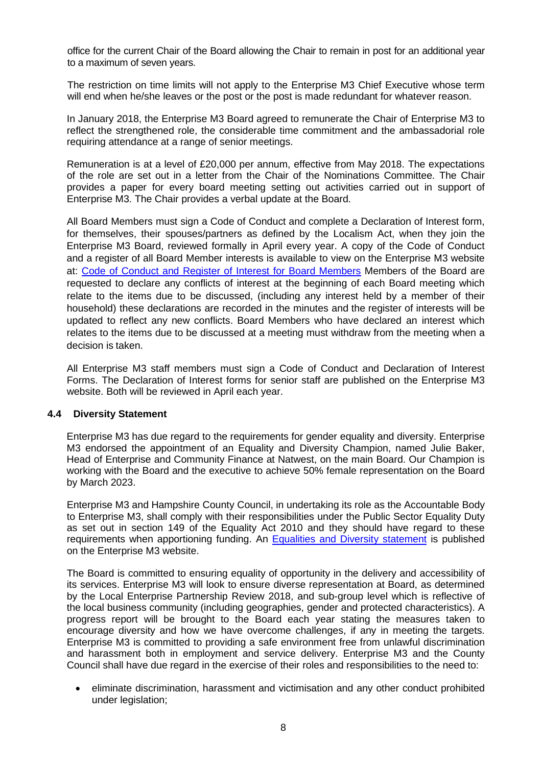office for the current Chair of the Board allowing the Chair to remain in post for an additional year to a maximum of seven years.

The restriction on time limits will not apply to the Enterprise M3 Chief Executive whose term will end when he/she leaves or the post or the post is made redundant for whatever reason.

In January 2018, the Enterprise M3 Board agreed to remunerate the Chair of Enterprise M3 to reflect the strengthened role, the considerable time commitment and the ambassadorial role requiring attendance at a range of senior meetings.

Remuneration is at a level of £20,000 per annum, effective from May 2018. The expectations of the role are set out in a letter from the Chair of the Nominations Committee. The Chair provides a paper for every board meeting setting out activities carried out in support of Enterprise M3. The Chair provides a verbal update at the Board.

All Board Members must sign a Code of Conduct and complete a Declaration of Interest form, for themselves, their spouses/partners as defined by the Localism Act, when they join the Enterprise M3 Board, reviewed formally in April every year. A copy of the Code of Conduct and a register of all Board Member interests is available to view on the Enterprise M3 website at: [Code of Conduct and Register of Interest for Board Members](https://www.enterprisem3.org.uk/people/board) Members of the Board are requested to declare any conflicts of interest at the beginning of each Board meeting which relate to the items due to be discussed, (including any interest held by a member of their household) these declarations are recorded in the minutes and the register of interests will be updated to reflect any new conflicts. Board Members who have declared an interest which relates to the items due to be discussed at a meeting must withdraw from the meeting when a decision is taken.

All Enterprise M3 staff members must sign a Code of Conduct and Declaration of Interest Forms. The Declaration of Interest forms for senior staff are published on the Enterprise M3 website. Both will be reviewed in April each year.

## **4.4 Diversity Statement**

Enterprise M3 has due regard to the requirements for gender equality and diversity. Enterprise M3 endorsed the appointment of an Equality and Diversity Champion, named Julie Baker, Head of Enterprise and Community Finance at Natwest, on the main Board. Our Champion is working with the Board and the executive to achieve 50% female representation on the Board by March 2023.

Enterprise M3 and Hampshire County Council, in undertaking its role as the Accountable Body to Enterprise M3, shall comply with their responsibilities under the Public Sector Equality Duty as set out in section 149 of the Equality Act 2010 and they should have regard to these requirements when apportioning funding. An [Equalities and Diversity](https://www.enterprisem3.org.uk/node/327) statement is published on the Enterprise M3 website.

The Board is committed to ensuring equality of opportunity in the delivery and accessibility of its services. Enterprise M3 will look to ensure diverse representation at Board, as determined by the Local Enterprise Partnership Review 2018, and sub-group level which is reflective of the local business community (including geographies, gender and protected characteristics). A progress report will be brought to the Board each year stating the measures taken to encourage diversity and how we have overcome challenges, if any in meeting the targets. Enterprise M3 is committed to providing a safe environment free from unlawful discrimination and harassment both in employment and service delivery. Enterprise M3 and the County Council shall have due regard in the exercise of their roles and responsibilities to the need to:

• eliminate discrimination, harassment and victimisation and any other conduct prohibited under legislation;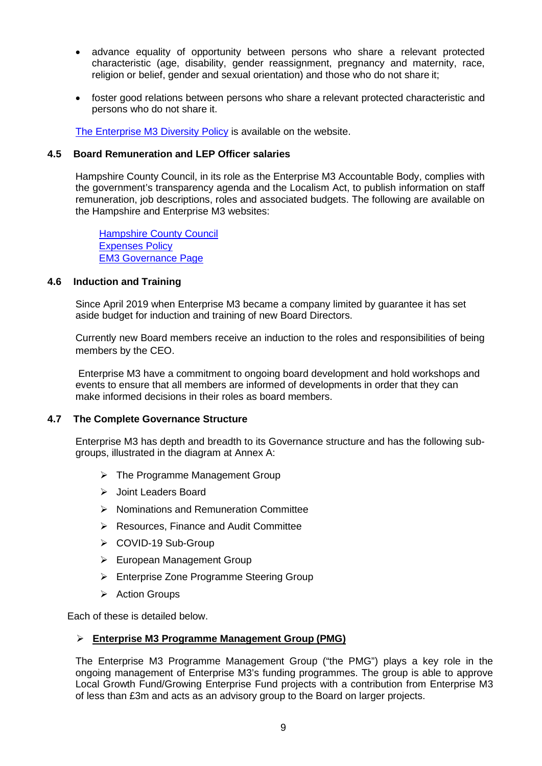- advance equality of opportunity between persons who share a relevant protected characteristic (age, disability, gender reassignment, pregnancy and maternity, race, religion or belief, gender and sexual orientation) and those who do not share it;
- foster good relations between persons who share a relevant protected characteristic and persons who do not share it.

[The Enterprise M3 Diversity Policy](https://www.enterprisem3.org.uk/node/327) is available on the website.

### **4.5 Board Remuneration and LEP Officer salaries**

Hampshire County Council, in its role as the Enterprise M3 Accountable Body, complies with the government's transparency agenda and the Localism Act, to publish information on staff remuneration, job descriptions, roles and associated budgets. The following are available on the Hampshire and Enterprise M3 websites:

[Hampshire County Council](https://www.hants.gov.uk/) [Expenses Policy](https://www.enterprisem3.org.uk/node/676) [EM3 Governance Page](https://www.enterprisem3.org.uk/governance)

### **4.6 Induction and Training**

Since April 2019 when Enterprise M3 became a company limited by guarantee it has set aside budget for induction and training of new Board Directors.

Currently new Board members receive an induction to the roles and responsibilities of being members by the CEO.

Enterprise M3 have a commitment to ongoing board development and hold workshops and events to ensure that all members are informed of developments in order that they can make informed decisions in their roles as board members.

### **4.7 The Complete Governance Structure**

Enterprise M3 has depth and breadth to its Governance structure and has the following subgroups, illustrated in the diagram at Annex A:

- $\triangleright$  The Programme Management Group
- > Joint Leaders Board
- $\triangleright$  Nominations and Remuneration Committee
- **EXA Resources, Finance and Audit Committee**
- COVID-19 Sub-Group
- ▶ European Management Group
- Enterprise Zone Programme Steering Group
- $\triangleright$  Action Groups

Each of these is detailed below.

### **Enterprise M3 Programme Management Group (PMG)**

The Enterprise M3 Programme Management Group ("the PMG") plays a key role in the ongoing management of Enterprise M3's funding programmes. The group is able to approve Local Growth Fund/Growing Enterprise Fund projects with a contribution from Enterprise M3 of less than £3m and acts as an advisory group to the Board on larger projects.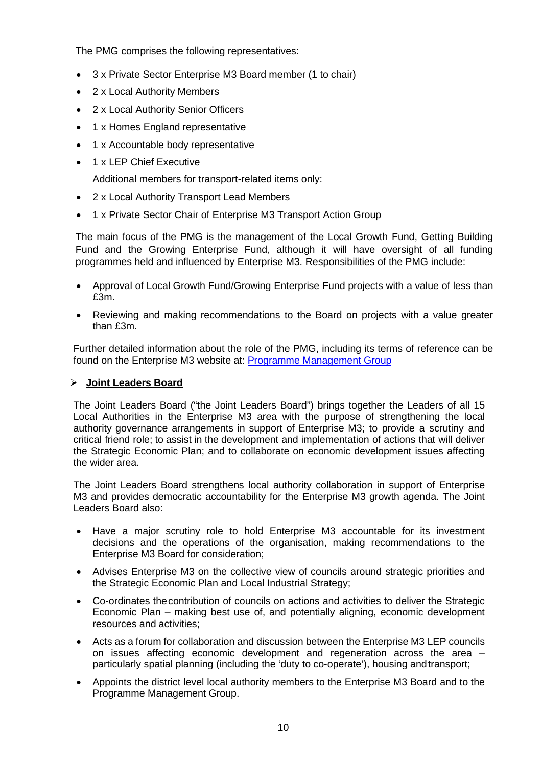The PMG comprises the following representatives:

- 3 x Private Sector Enterprise M3 Board member (1 to chair)
- 2 x Local Authority Members
- 2 x Local Authority Senior Officers
- 1 x Homes England representative
- 1 x Accountable body representative
- 1 x LEP Chief Executive

Additional members for transport-related items only:

- 2 x Local Authority Transport Lead Members
- 1 x Private Sector Chair of Enterprise M3 Transport Action Group

The main focus of the PMG is the management of the Local Growth Fund, Getting Building Fund and the Growing Enterprise Fund, although it will have oversight of all funding programmes held and influenced by Enterprise M3. Responsibilities of the PMG include:

- Approval of Local Growth Fund/Growing Enterprise Fund projects with a value of less than £3m.
- Reviewing and making recommendations to the Board on projects with a value greater than £3m.

Further detailed information about the role of the PMG, including its terms of reference can be found on the Enterprise M3 website at: [Programme Management Group](https://www.enterprisem3.org.uk/programme-management-group)

## **Joint Leaders Board**

The Joint Leaders Board ("the Joint Leaders Board") brings together the Leaders of all 15 Local Authorities in the Enterprise M3 area with the purpose of strengthening the local authority governance arrangements in support of Enterprise M3; to provide a scrutiny and critical friend role; to assist in the development and implementation of actions that will deliver the Strategic Economic Plan; and to collaborate on economic development issues affecting the wider area.

The Joint Leaders Board strengthens local authority collaboration in support of Enterprise M3 and provides democratic accountability for the Enterprise M3 growth agenda. The Joint Leaders Board also:

- Have a major scrutiny role to hold Enterprise M3 accountable for its investment decisions and the operations of the organisation, making recommendations to the Enterprise M3 Board for consideration;
- Advises Enterprise M3 on the collective view of councils around strategic priorities and the Strategic Economic Plan and Local Industrial Strategy;
- Co-ordinates thecontribution of councils on actions and activities to deliver the Strategic Economic Plan – making best use of, and potentially aligning, economic development resources and activities;
- Acts as a forum for collaboration and discussion between the Enterprise M3 LEP councils on issues affecting economic development and regeneration across the area – particularly spatial planning (including the 'duty to co-operate'), housing andtransport;
- Appoints the district level local authority members to the Enterprise M3 Board and to the Programme Management Group.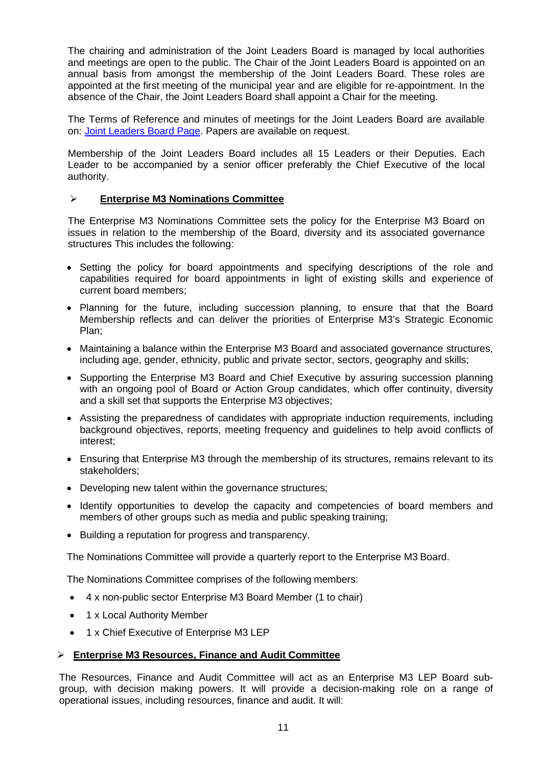The chairing and administration of the Joint Leaders Board is managed by local authorities and meetings are open to the public. The Chair of the Joint Leaders Board is appointed on an annual basis from amongst the membership of the Joint Leaders Board. These roles are appointed at the first meeting of the municipal year and are eligible for re-appointment. In the absence of the Chair, the Joint Leaders Board shall appoint a Chair for the meeting.

The Terms of Reference and minutes of meetings for the Joint Leaders Board are available on: [Joint Leaders Board Page.](https://www.enterprisem3.org.uk/joint-leaders-board) Papers are available on request.

Membership of the Joint Leaders Board includes all 15 Leaders or their Deputies. Each Leader to be accompanied by a senior officer preferably the Chief Executive of the local authority.

## **Enterprise M3 Nominations Committee**

The Enterprise M3 Nominations Committee sets the policy for the Enterprise M3 Board on issues in relation to the membership of the Board, diversity and its associated governance structures This includes the following:

- Setting the policy for board appointments and specifying descriptions of the role and capabilities required for board appointments in light of existing skills and experience of current board members;
- Planning for the future, including succession planning, to ensure that that the Board Membership reflects and can deliver the priorities of Enterprise M3's Strategic Economic Plan;
- Maintaining a balance within the Enterprise M3 Board and associated governance structures, including age, gender, ethnicity, public and private sector, sectors, geography and skills;
- Supporting the Enterprise M3 Board and Chief Executive by assuring succession planning with an ongoing pool of Board or Action Group candidates, which offer continuity, diversity and a skill set that supports the Enterprise M3 objectives;
- Assisting the preparedness of candidates with appropriate induction requirements, including background objectives, reports, meeting frequency and guidelines to help avoid conflicts of interest;
- Ensuring that Enterprise M3 through the membership of its structures, remains relevant to its stakeholders;
- Developing new talent within the governance structures;
- Identify opportunities to develop the capacity and competencies of board members and members of other groups such as media and public speaking training;
- Building a reputation for progress and transparency.

The Nominations Committee will provide a quarterly report to the Enterprise M3 Board.

The Nominations Committee comprises of the following members:

- 4 x non-public sector Enterprise M3 Board Member (1 to chair)
- 1 x Local Authority Member
- 1 x Chief Executive of Enterprise M3 LEP

### **Enterprise M3 Resources, Finance and Audit Committee**

The Resources, Finance and Audit Committee will act as an Enterprise M3 LEP Board subgroup, with decision making powers. It will provide a decision-making role on a range of operational issues, including resources, finance and audit. It will: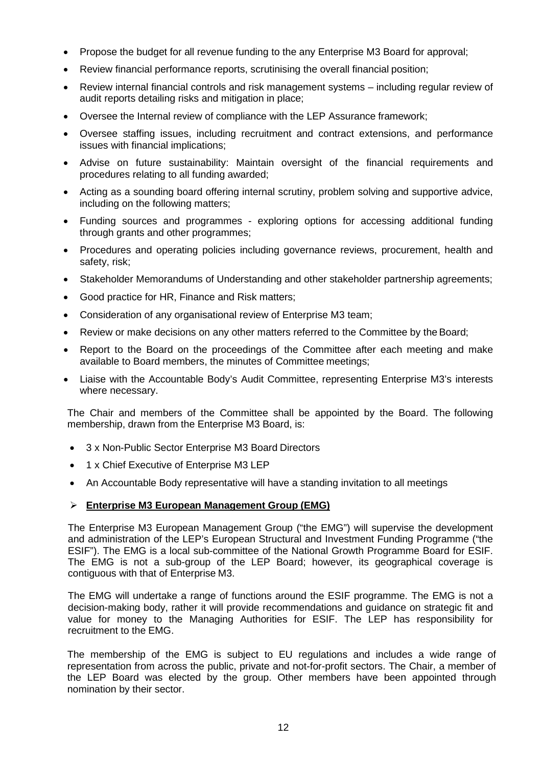- Propose the budget for all revenue funding to the any Enterprise M3 Board for approval;
- Review financial performance reports, scrutinising the overall financial position;
- Review internal financial controls and risk management systems including regular review of audit reports detailing risks and mitigation in place;
- Oversee the Internal review of compliance with the LEP Assurance framework;
- Oversee staffing issues, including recruitment and contract extensions, and performance issues with financial implications;
- Advise on future sustainability: Maintain oversight of the financial requirements and procedures relating to all funding awarded;
- Acting as a sounding board offering internal scrutiny, problem solving and supportive advice, including on the following matters;
- Funding sources and programmes exploring options for accessing additional funding through grants and other programmes;
- Procedures and operating policies including governance reviews, procurement, health and safety, risk;
- Stakeholder Memorandums of Understanding and other stakeholder partnership agreements;
- Good practice for HR, Finance and Risk matters;
- Consideration of any organisational review of Enterprise M3 team;
- Review or make decisions on any other matters referred to the Committee by the Board;
- Report to the Board on the proceedings of the Committee after each meeting and make available to Board members, the minutes of Committee meetings;
- Liaise with the Accountable Body's Audit Committee, representing Enterprise M3's interests where necessary.

The Chair and members of the Committee shall be appointed by the Board. The following membership, drawn from the Enterprise M3 Board, is:

- 3 x Non-Public Sector Enterprise M3 Board Directors
- 1 x Chief Executive of Enterprise M3 LEP
- An Accountable Body representative will have a standing invitation to all meetings

## **Enterprise M3 European Management Group (EMG)**

The Enterprise M3 European Management Group ("the EMG") will supervise the development and administration of the LEP's European Structural and Investment Funding Programme ("the ESIF"). The EMG is a local sub-committee of the National Growth Programme Board for ESIF. The EMG is not a sub-group of the LEP Board; however, its geographical coverage is contiguous with that of Enterprise M3.

The EMG will undertake a range of functions around the ESIF programme. The EMG is not a decision-making body, rather it will provide recommendations and guidance on strategic fit and value for money to the Managing Authorities for ESIF. The LEP has responsibility for recruitment to the EMG.

The membership of the EMG is subject to EU regulations and includes a wide range of representation from across the public, private and not-for-profit sectors. The Chair, a member of the LEP Board was elected by the group. Other members have been appointed through nomination by their sector.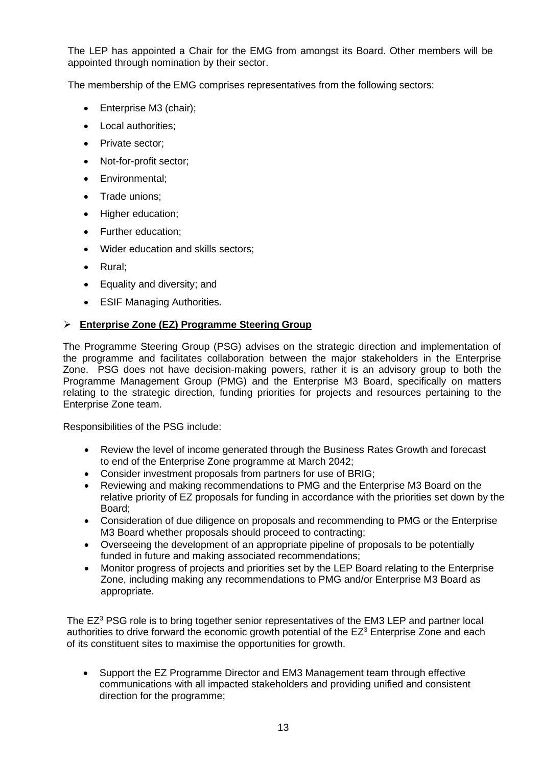The LEP has appointed a Chair for the EMG from amongst its Board. Other members will be appointed through nomination by their sector.

The membership of the EMG comprises representatives from the following sectors:

- Enterprise M3 (chair);
- Local authorities;
- Private sector:
- Not-for-profit sector:
- Environmental;
- Trade unions;
- Higher education;
- Further education;
- Wider education and skills sectors:
- Rural;
- Equality and diversity; and
- **ESIF Managing Authorities.**

## **Enterprise Zone (EZ) Programme Steering Group**

The Programme Steering Group (PSG) advises on the strategic direction and implementation of the programme and facilitates collaboration between the major stakeholders in the Enterprise Zone. PSG does not have decision-making powers, rather it is an advisory group to both the Programme Management Group (PMG) and the Enterprise M3 Board, specifically on matters relating to the strategic direction, funding priorities for projects and resources pertaining to the Enterprise Zone team.

Responsibilities of the PSG include:

- Review the level of income generated through the Business Rates Growth and forecast to end of the Enterprise Zone programme at March 2042;
- Consider investment proposals from partners for use of BRIG;
- Reviewing and making recommendations to PMG and the Enterprise M3 Board on the relative priority of EZ proposals for funding in accordance with the priorities set down by the Board;
- Consideration of due diligence on proposals and recommending to PMG or the Enterprise M3 Board whether proposals should proceed to contracting;
- Overseeing the development of an appropriate pipeline of proposals to be potentially funded in future and making associated recommendations;
- Monitor progress of projects and priorities set by the LEP Board relating to the Enterprise Zone, including making any recommendations to PMG and/or Enterprise M3 Board as appropriate.

The  $EZ<sup>3</sup>$  PSG role is to bring together senior representatives of the EM3 LEP and partner local authorities to drive forward the economic growth potential of the  $EZ<sup>3</sup>$  Enterprise Zone and each of its constituent sites to maximise the opportunities for growth.

• Support the EZ Programme Director and EM3 Management team through effective communications with all impacted stakeholders and providing unified and consistent direction for the programme;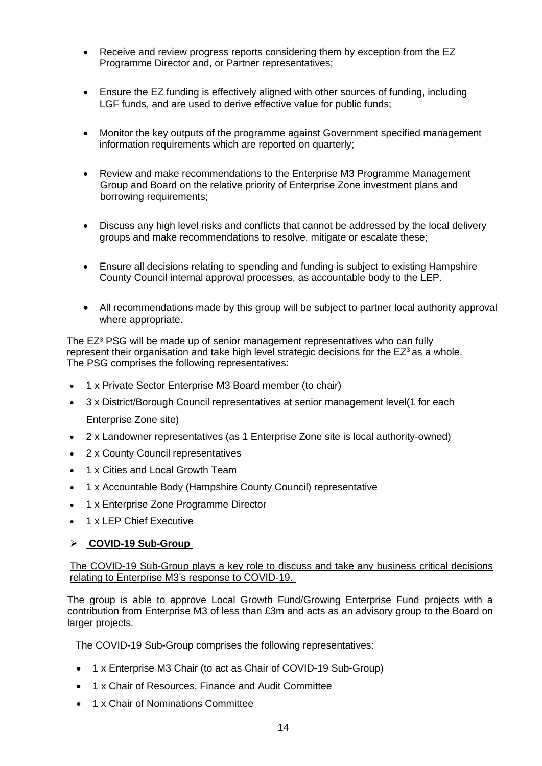- Receive and review progress reports considering them by exception from the EZ Programme Director and, or Partner representatives;
- Ensure the EZ funding is effectively aligned with other sources of funding, including LGF funds, and are used to derive effective value for public funds;
- Monitor the key outputs of the programme against Government specified management information requirements which are reported on quarterly;
- Review and make recommendations to the Enterprise M3 Programme Management Group and Board on the relative priority of Enterprise Zone investment plans and borrowing requirements;
- Discuss any high level risks and conflicts that cannot be addressed by the local delivery groups and make recommendations to resolve, mitigate or escalate these;
- Ensure all decisions relating to spending and funding is subject to existing Hampshire County Council internal approval processes, as accountable body to the LEP.
- All recommendations made by this group will be subject to partner local authority approval where appropriate.

The EZ<sup>3</sup> PSG will be made up of senior management representatives who can fully represent their organisation and take high level strategic decisions for the  $EZ<sup>3</sup>$  as a whole. The PSG comprises the following representatives:

- 1 x Private Sector Enterprise M3 Board member (to chair)
- 3 x District/Borough Council representatives at senior management level(1 for each Enterprise Zone site)
- 2 x Landowner representatives (as 1 Enterprise Zone site is local authority-owned)
- 2 x County Council representatives
- 1 x Cities and Local Growth Team
- 1 x Accountable Body (Hampshire County Council) representative
- 1 x Enterprise Zone Programme Director
- 1 x LEP Chief Executive

### **COVID-19 Sub-Group**

### The COVID-19 Sub-Group plays a key role to discuss and take any business critical decisions relating to Enterprise M3's response to COVID-19.

The group is able to approve Local Growth Fund/Growing Enterprise Fund projects with a contribution from Enterprise M3 of less than £3m and acts as an advisory group to the Board on larger projects.

The COVID-19 Sub-Group comprises the following representatives:

- 1 x Enterprise M3 Chair (to act as Chair of COVID-19 Sub-Group)
- 1 x Chair of Resources, Finance and Audit Committee
- 1 x Chair of Nominations Committee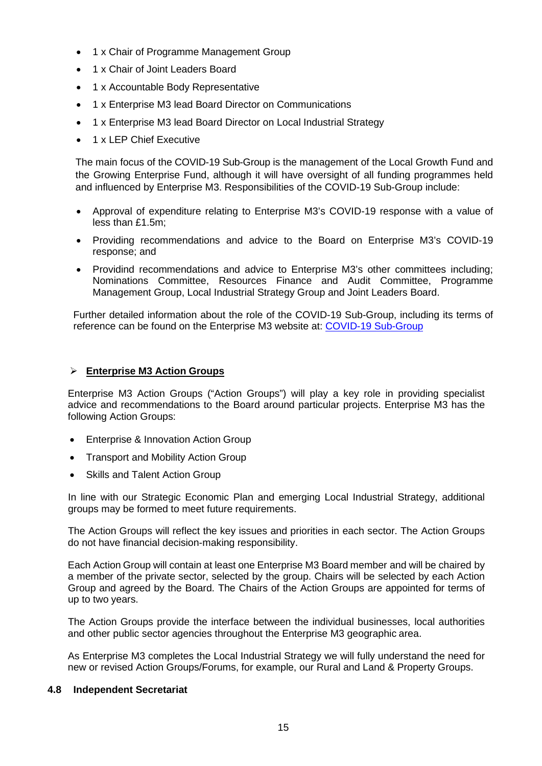- 1 x Chair of Programme Management Group
- 1 x Chair of Joint Leaders Board
- 1 x Accountable Body Representative
- 1 x Enterprise M3 lead Board Director on Communications
- 1 x Enterprise M3 lead Board Director on Local Industrial Strategy
- 1 x LEP Chief Executive

The main focus of the COVID-19 Sub-Group is the management of the Local Growth Fund and the Growing Enterprise Fund, although it will have oversight of all funding programmes held and influenced by Enterprise M3. Responsibilities of the COVID-19 Sub-Group include:

- Approval of expenditure relating to Enterprise M3's COVID-19 response with a value of less than £1.5m;
- Providing recommendations and advice to the Board on Enterprise M3's COVID-19 response; and
- Providind recommendations and advice to Enterprise M3's other committees including; Nominations Committee, Resources Finance and Audit Committee, Programme Management Group, Local Industrial Strategy Group and Joint Leaders Board.

Further detailed information about the role of the COVID-19 Sub-Group, including its terms of reference can be found on the Enterprise M3 website at: [COVID-19 Sub-Group](https://www.enterprisem3.org.uk/covid-19-sub-group)

## **Enterprise M3 Action Groups**

Enterprise M3 Action Groups ("Action Groups") will play a key role in providing specialist advice and recommendations to the Board around particular projects. Enterprise M3 has the following Action Groups:

- Enterprise & Innovation Action Group
- Transport and Mobility Action Group
- Skills and Talent Action Group

In line with our Strategic Economic Plan and emerging Local Industrial Strategy, additional groups may be formed to meet future requirements.

The Action Groups will reflect the key issues and priorities in each sector. The Action Groups do not have financial decision-making responsibility.

Each Action Group will contain at least one Enterprise M3 Board member and will be chaired by a member of the private sector, selected by the group. Chairs will be selected by each Action Group and agreed by the Board. The Chairs of the Action Groups are appointed for terms of up to two years.

The Action Groups provide the interface between the individual businesses, local authorities and other public sector agencies throughout the Enterprise M3 geographic area.

As Enterprise M3 completes the Local Industrial Strategy we will fully understand the need for new or revised Action Groups/Forums, for example, our Rural and Land & Property Groups.

## **4.8 Independent Secretariat**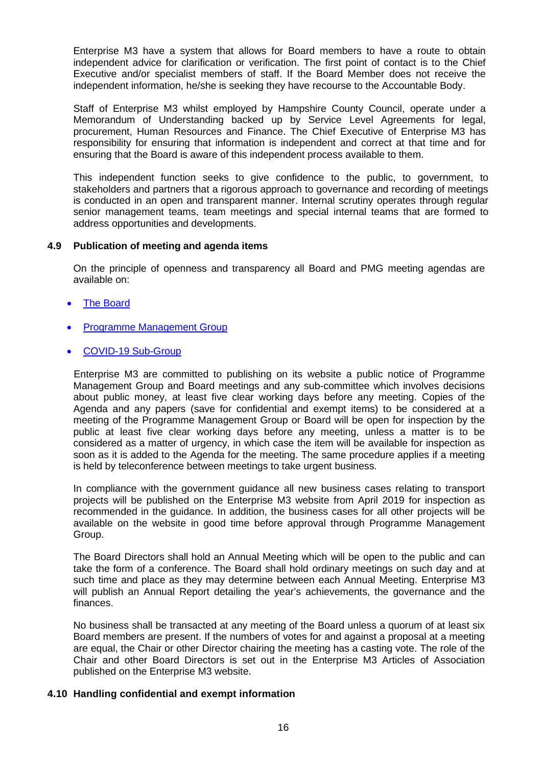Enterprise M3 have a system that allows for Board members to have a route to obtain independent advice for clarification or verification. The first point of contact is to the Chief Executive and/or specialist members of staff. If the Board Member does not receive the independent information, he/she is seeking they have recourse to the Accountable Body.

Staff of Enterprise M3 whilst employed by Hampshire County Council, operate under a Memorandum of Understanding backed up by Service Level Agreements for legal, procurement, Human Resources and Finance. The Chief Executive of Enterprise M3 has responsibility for ensuring that information is independent and correct at that time and for ensuring that the Board is aware of this independent process available to them.

This independent function seeks to give confidence to the public, to government, to stakeholders and partners that a rigorous approach to governance and recording of meetings is conducted in an open and transparent manner. Internal scrutiny operates through regular senior management teams, team meetings and special internal teams that are formed to address opportunities and developments.

## **4.9 Publication of meeting and agenda items**

On the principle of openness and transparency all Board and PMG meeting agendas are available on:

- [The Board](https://www.enterprisem3.org.uk/enterprise-m3-board)
- [Programme Management Group](https://www.enterprisem3.org.uk/programme-management-group)
- [COVID-19 Sub-Group](https://www.enterprisem3.org.uk/covid-19-sub-group)

Enterprise M3 are committed to publishing on its website a public notice of Programme Management Group and Board meetings and any sub-committee which involves decisions about public money, at least five clear working days before any meeting. Copies of the Agenda and any papers (save for confidential and exempt items) to be considered at a meeting of the Programme Management Group or Board will be open for inspection by the public at least five clear working days before any meeting, unless a matter is to be considered as a matter of urgency, in which case the item will be available for inspection as soon as it is added to the Agenda for the meeting. The same procedure applies if a meeting is held by teleconference between meetings to take urgent business.

In compliance with the government guidance all new business cases relating to transport projects will be published on the Enterprise M3 website from April 2019 for inspection as recommended in the guidance. In addition, the business cases for all other projects will be available on the website in good time before approval through Programme Management Group.

The Board Directors shall hold an Annual Meeting which will be open to the public and can take the form of a conference. The Board shall hold ordinary meetings on such day and at such time and place as they may determine between each Annual Meeting. Enterprise M3 will publish an Annual Report detailing the year's achievements, the governance and the finances.

No business shall be transacted at any meeting of the Board unless a quorum of at least six Board members are present. If the numbers of votes for and against a proposal at a meeting are equal, the Chair or other Director chairing the meeting has a casting vote. The role of the Chair and other Board Directors is set out in the Enterprise M3 Articles of Association published on the Enterprise M3 website.

## **4.10 Handling confidential and exempt information**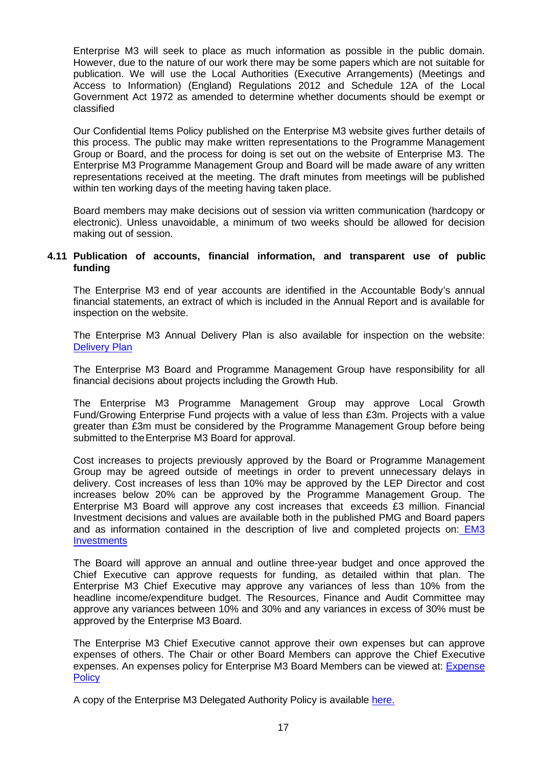Enterprise M3 will seek to place as much information as possible in the public domain. However, due to the nature of our work there may be some papers which are not suitable for publication. We will use the Local Authorities (Executive Arrangements) (Meetings and Access to Information) (England) Regulations 2012 and Schedule 12A of the Local Government Act 1972 as amended to determine whether documents should be exempt or classified

Our Confidential Items Policy published on the Enterprise M3 website gives further details of this process. The public may make written representations to the Programme Management Group or Board, and the process for doing is set out on the website of Enterprise M3. The Enterprise M3 Programme Management Group and Board will be made aware of any written representations received at the meeting. The draft minutes from meetings will be published within ten working days of the meeting having taken place.

Board members may make decisions out of session via written communication (hardcopy or electronic). Unless unavoidable, a minimum of two weeks should be allowed for decision making out of session.

## **4.11 Publication of accounts, financial information, and transparent use of public funding**

The Enterprise M3 end of year accounts are identified in the Accountable Body's annual financial statements, an extract of which is included in the Annual Report and is available for inspection on the website.

The Enterprise M3 Annual Delivery Plan is also available for inspection on the website: [Delivery Plan](https://www.enterprisem3.org.uk/sites/default/files/2020-09/Delivery%20plan%20final%20reduced_0.pdf)

The Enterprise M3 Board and Programme Management Group have responsibility for all financial decisions about projects including the Growth Hub.

The Enterprise M3 Programme Management Group may approve Local Growth Fund/Growing Enterprise Fund projects with a value of less than £3m. Projects with a value greater than £3m must be considered by the Programme Management Group before being submitted to the Enterprise M3 Board for approval.

Cost increases to projects previously approved by the Board or Programme Management Group may be agreed outside of meetings in order to prevent unnecessary delays in delivery. Cost increases of less than 10% may be approved by the LEP Director and cost increases below 20% can be approved by the Programme Management Group. The Enterprise M3 Board will approve any cost increases that exceeds £3 million. Financial Investment decisions and values are available both in the published PMG and Board papers and as information contained in the description of live and completed projects on: [EM3](https://www.enterprisem3.org.uk/hub/em3-investments)  **[Investments](https://www.enterprisem3.org.uk/hub/em3-investments)** 

The Board will approve an annual and outline three-year budget and once approved the Chief Executive can approve requests for funding, as detailed within that plan. The Enterprise M3 Chief Executive may approve any variances of less than 10% from the headline income/expenditure budget. The Resources, Finance and Audit Committee may approve any variances between 10% and 30% and any variances in excess of 30% must be approved by the Enterprise M3 Board.

The Enterprise M3 Chief Executive cannot approve their own expenses but can approve expenses of others. The Chair or other Board Members can approve the Chief Executive expenses. An expenses policy for Enterprise M3 Board Members can be viewed at: [Expense](https://www.enterprisem3.org.uk/sites/default/files/2020-09/Expenses%20policy%20-%20August%202020.pdf)  **[Policy](https://www.enterprisem3.org.uk/sites/default/files/2020-09/Expenses%20policy%20-%20August%202020.pdf)** 

A copy of the Enterprise M3 Delegated Authority Policy is available [here.](https://www.enterprisem3.org.uk/sites/default/files/2020-09/Enterprise%20M3%20Internal%20Scheme%20of%20Delegation%20%20-%20June%202020%20-%20Final.pdf)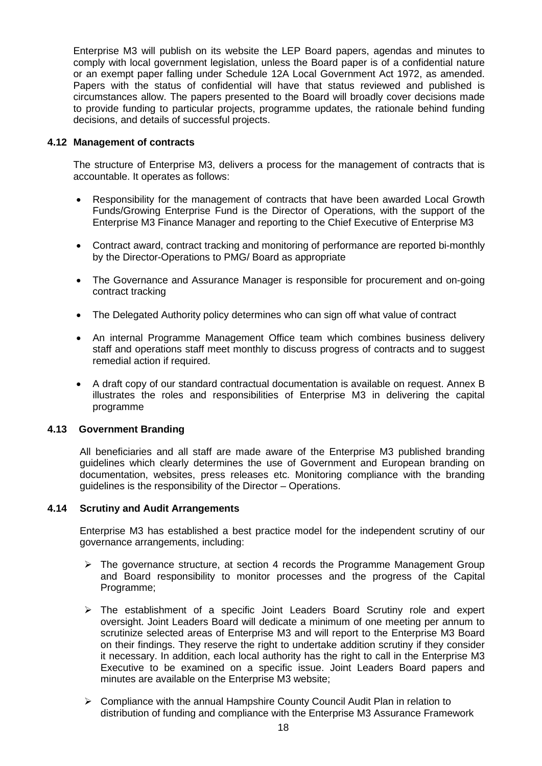Enterprise M3 will publish on its website the LEP Board papers, agendas and minutes to comply with local government legislation, unless the Board paper is of a confidential nature or an exempt paper falling under Schedule 12A Local Government Act 1972, as amended. Papers with the status of confidential will have that status reviewed and published is circumstances allow. The papers presented to the Board will broadly cover decisions made to provide funding to particular projects, programme updates, the rationale behind funding decisions, and details of successful projects.

## **4.12 Management of contracts**

The structure of Enterprise M3, delivers a process for the management of contracts that is accountable. It operates as follows:

- Responsibility for the management of contracts that have been awarded Local Growth Funds/Growing Enterprise Fund is the Director of Operations, with the support of the Enterprise M3 Finance Manager and reporting to the Chief Executive of Enterprise M3
- Contract award, contract tracking and monitoring of performance are reported bi-monthly by the Director-Operations to PMG/ Board as appropriate
- The Governance and Assurance Manager is responsible for procurement and on-going contract tracking
- The Delegated Authority policy determines who can sign off what value of contract
- An internal Programme Management Office team which combines business delivery staff and operations staff meet monthly to discuss progress of contracts and to suggest remedial action if required.
- A draft copy of our standard contractual documentation is available on request. Annex B illustrates the roles and responsibilities of Enterprise M3 in delivering the capital programme

## **4.13 Government Branding**

All beneficiaries and all staff are made aware of the Enterprise M3 published branding guidelines which clearly determines the use of Government and European branding on documentation, websites, press releases etc. Monitoring compliance with the branding guidelines is the responsibility of the Director – Operations.

## **4.14 Scrutiny and Audit Arrangements**

Enterprise M3 has established a best practice model for the independent scrutiny of our governance arrangements, including:

- $\triangleright$  The governance structure, at section 4 records the Programme Management Group and Board responsibility to monitor processes and the progress of the Capital Programme;
- > The establishment of a specific Joint Leaders Board Scrutiny role and expert oversight. Joint Leaders Board will dedicate a minimum of one meeting per annum to scrutinize selected areas of Enterprise M3 and will report to the Enterprise M3 Board on their findings. They reserve the right to undertake addition scrutiny if they consider it necessary. In addition, each local authority has the right to call in the Enterprise M3 Executive to be examined on a specific issue. Joint Leaders Board papers and minutes are available on the Enterprise M3 website;
- $\triangleright$  Compliance with the annual Hampshire County Council Audit Plan in relation to distribution of funding and compliance with the Enterprise M3 Assurance Framework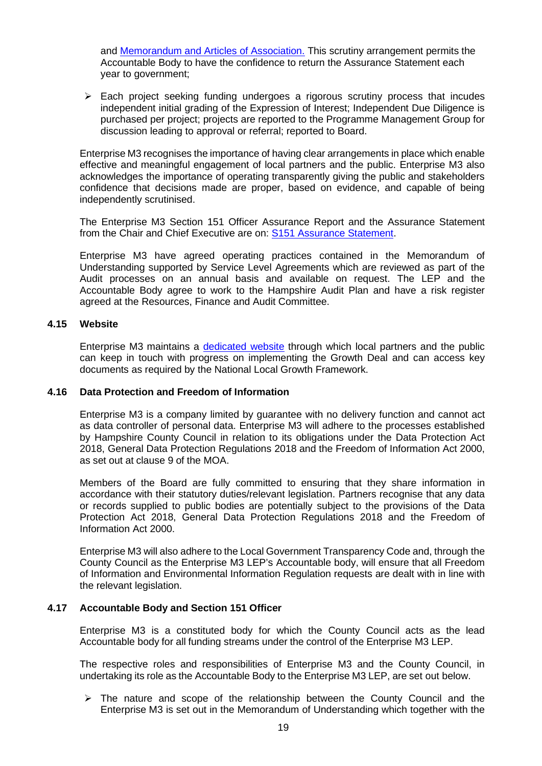and [Memorandum and Articles of Association.](https://www.enterprisem3.org.uk/sites/default/files/2019-07/Enterprise%20M3%20Ltd%20-%20Memorandum%20and%20Articles%20of%20Association_0.pdf) This scrutiny arrangement permits the Accountable Body to have the confidence to return the Assurance Statement each year to government;

 $\triangleright$  Each project seeking funding undergoes a rigorous scrutiny process that incudes independent initial grading of the Expression of Interest; Independent Due Diligence is purchased per project; projects are reported to the Programme Management Group for discussion leading to approval or referral; reported to Board.

Enterprise M3 recognises the importance of having clear arrangements in place which enable effective and meaningful engagement of local partners and the public. Enterprise M3 also acknowledges the importance of operating transparently giving the public and stakeholders confidence that decisions made are proper, based on evidence, and capable of being independently scrutinised.

The Enterprise M3 Section 151 Officer Assurance Report and the Assurance Statement from the Chair and Chief Executive are on: [S151 Assurance Statement.](https://www.enterprisem3.org.uk/sites/default/files/2020-02/Section%20151_73%20Assurance%20Statement%20Dec%202019.pdf)

Enterprise M3 have agreed operating practices contained in the Memorandum of Understanding supported by Service Level Agreements which are reviewed as part of the Audit processes on an annual basis and available on request. The LEP and the Accountable Body agree to work to the Hampshire Audit Plan and have a risk register agreed at the Resources, Finance and Audit Committee.

### **4.15 Website**

Enterprise M3 maintains a [dedicated website](https://www.enterprisem3.org.uk/) through which local partners and the public can keep in touch with progress on implementing the Growth Deal and can access key documents as required by the National Local Growth Framework.

### **4.16 Data Protection and Freedom of Information**

Enterprise M3 is a company limited by guarantee with no delivery function and cannot act as data controller of personal data. Enterprise M3 will adhere to the processes established by Hampshire County Council in relation to its obligations under the Data Protection Act 2018, General Data Protection Regulations 2018 and the Freedom of Information Act 2000, as set out at clause 9 of the MOA.

Members of the Board are fully committed to ensuring that they share information in accordance with their statutory duties/relevant legislation. Partners recognise that any data or records supplied to public bodies are potentially subject to the provisions of the Data Protection Act 2018, General Data Protection Regulations 2018 and the Freedom of Information Act 2000.

Enterprise M3 will also adhere to the Local Government Transparency Code and, through the County Council as the Enterprise M3 LEP's Accountable body, will ensure that all Freedom of Information and Environmental Information Regulation requests are dealt with in line with the relevant legislation.

## **4.17 Accountable Body and Section 151 Officer**

Enterprise M3 is a constituted body for which the County Council acts as the lead Accountable body for all funding streams under the control of the Enterprise M3 LEP.

The respective roles and responsibilities of Enterprise M3 and the County Council, in undertaking its role as the Accountable Body to the Enterprise M3 LEP, are set out below.

 $\triangleright$  The nature and scope of the relationship between the County Council and the Enterprise M3 is set out in the Memorandum of Understanding which together with the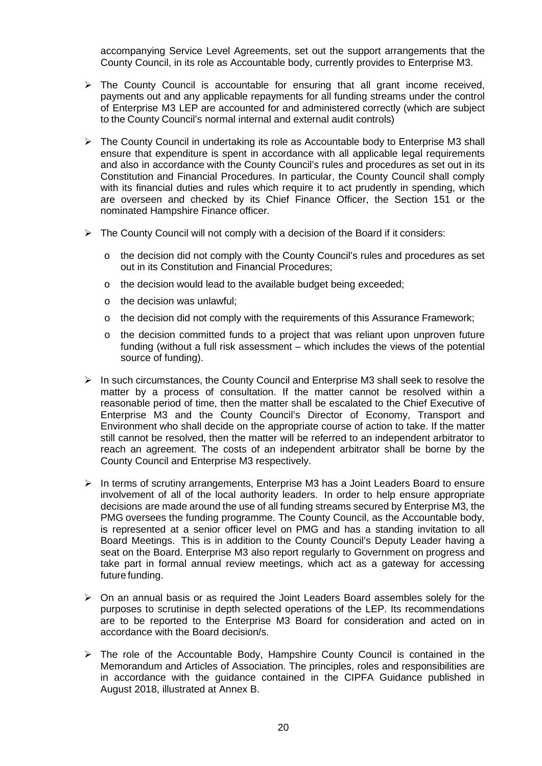accompanying Service Level Agreements, set out the support arrangements that the County Council, in its role as Accountable body, currently provides to Enterprise M3.

- $\triangleright$  The County Council is accountable for ensuring that all grant income received, payments out and any applicable repayments for all funding streams under the control of Enterprise M3 LEP are accounted for and administered correctly (which are subject to the County Council's normal internal and external audit controls)
- The County Council in undertaking its role as Accountable body to Enterprise M3 shall ensure that expenditure is spent in accordance with all applicable legal requirements and also in accordance with the County Council's rules and procedures as set out in its Constitution and Financial Procedures. In particular, the County Council shall comply with its financial duties and rules which require it to act prudently in spending, which are overseen and checked by its Chief Finance Officer, the Section 151 or the nominated Hampshire Finance officer.
- $\triangleright$  The County Council will not comply with a decision of the Board if it considers:
	- $\circ$  the decision did not comply with the County Council's rules and procedures as set out in its Constitution and Financial Procedures;
	- o the decision would lead to the available budget being exceeded;
	- o the decision was unlawful;
	- $\circ$  the decision did not comply with the requirements of this Assurance Framework;
	- o the decision committed funds to a project that was reliant upon unproven future funding (without a full risk assessment – which includes the views of the potential source of funding).
- $\triangleright$  In such circumstances, the County Council and Enterprise M3 shall seek to resolve the matter by a process of consultation. If the matter cannot be resolved within a reasonable period of time, then the matter shall be escalated to the Chief Executive of Enterprise M3 and the County Council's Director of Economy, Transport and Environment who shall decide on the appropriate course of action to take. If the matter still cannot be resolved, then the matter will be referred to an independent arbitrator to reach an agreement. The costs of an independent arbitrator shall be borne by the County Council and Enterprise M3 respectively.
- $\triangleright$  In terms of scrutiny arrangements, Enterprise M3 has a Joint Leaders Board to ensure involvement of all of the local authority leaders. In order to help ensure appropriate decisions are made around the use of all funding streams secured by Enterprise M3, the PMG oversees the funding programme. The County Council, as the Accountable body, is represented at a senior officer level on PMG and has a standing invitation to all Board Meetings. This is in addition to the County Council's Deputy Leader having a seat on the Board. Enterprise M3 also report regularly to Government on progress and take part in formal annual review meetings, which act as a gateway for accessing future funding.
- $\triangleright$  On an annual basis or as required the Joint Leaders Board assembles solely for the purposes to scrutinise in depth selected operations of the LEP. Its recommendations are to be reported to the Enterprise M3 Board for consideration and acted on in accordance with the Board decision/s.
- $\triangleright$  The role of the Accountable Body, Hampshire County Council is contained in the Memorandum and Articles of Association. The principles, roles and responsibilities are in accordance with the guidance contained in the CIPFA Guidance published in August 2018, illustrated at Annex B.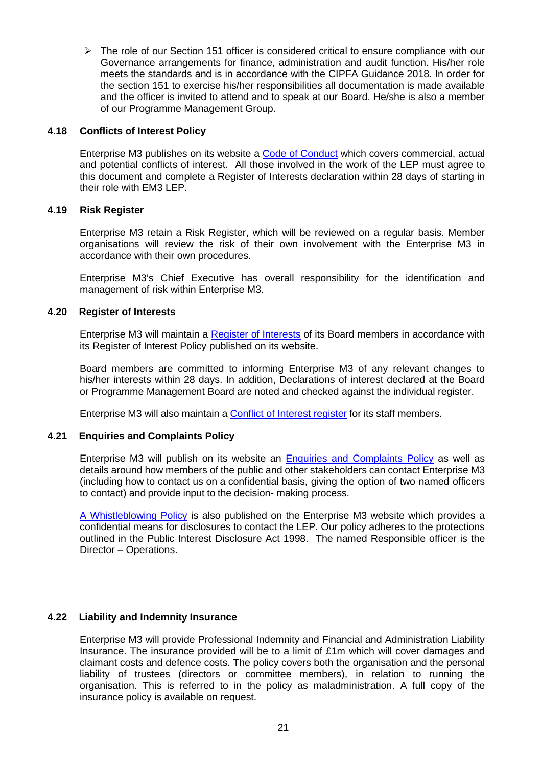$\triangleright$  The role of our Section 151 officer is considered critical to ensure compliance with our Governance arrangements for finance, administration and audit function. His/her role meets the standards and is in accordance with the CIPFA Guidance 2018. In order for the section 151 to exercise his/her responsibilities all documentation is made available and the officer is invited to attend and to speak at our Board. He/she is also a member of our Programme Management Group.

## **4.18 Conflicts of Interest Policy**

Enterprise M3 publishes on its website a [Code of Conduct](https://www.enterprisem3.org.uk/sites/default/files/2019-08/Board%20Member%20Code%20of%20Conduct.pdf) which covers commercial, actual and potential conflicts of interest. All those involved in the work of the LEP must agree to this document and complete a Register of Interests declaration within 28 days of starting in their role with EM3 LEP.

### **4.19 Risk Register**

Enterprise M3 retain a Risk Register, which will be reviewed on a regular basis. Member organisations will review the risk of their own involvement with the Enterprise M3 in accordance with their own procedures.

Enterprise M3's Chief Executive has overall responsibility for the identification and management of risk within Enterprise M3.

### **4.20 Register of Interests**

Enterprise M3 will maintain a [Register of Interests](https://www.enterprisem3.org.uk/sites/default/files/2019-08/Register%20of%20Board%20Members%27%20Interests%20August%2019.pdf) of its Board members in accordance with its Register of Interest Policy published on its website.

Board members are committed to informing Enterprise M3 of any relevant changes to his/her interests within 28 days. In addition, Declarations of interest declared at the Board or Programme Management Board are noted and checked against the individual register.

Enterprise M3 will also maintain a [Conflict of Interest register](https://www.enterprisem3.org.uk/sites/default/files/2019-08/Register%20for%20Interests%20-%20Staff%20Members%20%2820.08.2019%29.pdf) for its staff members.

## **4.21 Enquiries and Complaints Policy**

Enterprise M3 will publish on its website an **Enquiries and Complaints Policy** as well as details around how members of the public and other stakeholders can contact Enterprise M3 (including how to contact us on a confidential basis, giving the option of two named officers to contact) and provide input to the decision- making process.

[A Whistleblowing Policy](https://www.enterprisem3.org.uk/sites/default/files/2019-09/Enterprise%20M3%20Whistleblowing%20Policy%20%281%29.pdf) is also published on the Enterprise M3 website which provides a confidential means for disclosures to contact the LEP. Our policy adheres to the protections outlined in the Public Interest Disclosure Act 1998. The named Responsible officer is the Director – Operations.

## **4.22 Liability and Indemnity Insurance**

Enterprise M3 will provide Professional Indemnity and Financial and Administration Liability Insurance. The insurance provided will be to a limit of £1m which will cover damages and claimant costs and defence costs. The policy covers both the organisation and the personal liability of trustees (directors or committee members), in relation to running the organisation. This is referred to in the policy as maladministration. A full copy of the insurance policy is available on request.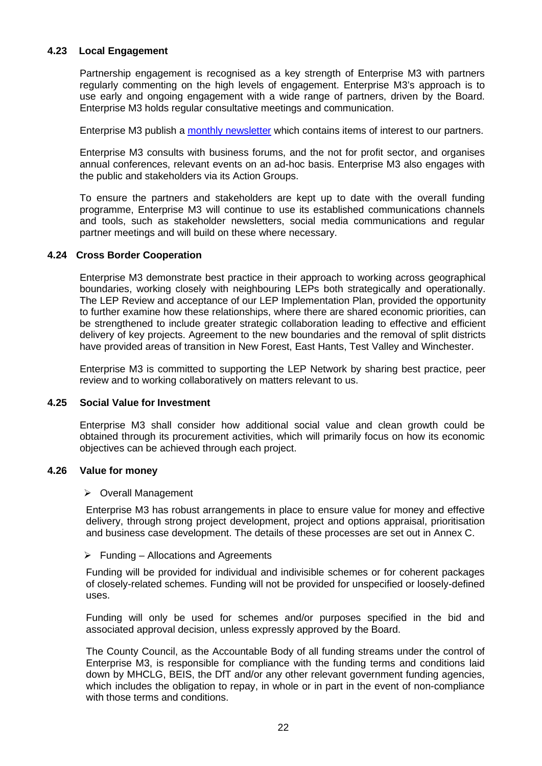## **4.23 Local Engagement**

Partnership engagement is recognised as a key strength of Enterprise M3 with partners regularly commenting on the high levels of engagement. Enterprise M3's approach is to use early and ongoing engagement with a wide range of partners, driven by the Board. Enterprise M3 holds regular consultative meetings and communication.

Enterprise M3 publish a [monthly newsletter](https://www.enterprisem3.org.uk/my-em3) which contains items of interest to our partners.

Enterprise M3 consults with business forums, and the not for profit sector, and organises annual conferences, relevant events on an ad-hoc basis. Enterprise M3 also engages with the public and stakeholders via its Action Groups.

To ensure the partners and stakeholders are kept up to date with the overall funding programme, Enterprise M3 will continue to use its established communications channels and tools, such as stakeholder newsletters, social media communications and regular partner meetings and will build on these where necessary.

### **4.24 Cross Border Cooperation**

Enterprise M3 demonstrate best practice in their approach to working across geographical boundaries, working closely with neighbouring LEPs both strategically and operationally. The LEP Review and acceptance of our LEP Implementation Plan, provided the opportunity to further examine how these relationships, where there are shared economic priorities, can be strengthened to include greater strategic collaboration leading to effective and efficient delivery of key projects. Agreement to the new boundaries and the removal of split districts have provided areas of transition in New Forest, East Hants, Test Valley and Winchester.

Enterprise M3 is committed to supporting the LEP Network by sharing best practice, peer review and to working collaboratively on matters relevant to us.

## **4.25 Social Value for Investment**

Enterprise M3 shall consider how additional social value and clean growth could be obtained through its procurement activities, which will primarily focus on how its economic objectives can be achieved through each project.

### **4.26 Value for money**

### ▶ Overall Management

Enterprise M3 has robust arrangements in place to ensure value for money and effective delivery, through strong project development, project and options appraisal, prioritisation and business case development. The details of these processes are set out in Annex C.

### $\triangleright$  Funding – Allocations and Agreements

Funding will be provided for individual and indivisible schemes or for coherent packages of closely-related schemes. Funding will not be provided for unspecified or loosely-defined uses.

Funding will only be used for schemes and/or purposes specified in the bid and associated approval decision, unless expressly approved by the Board.

The County Council, as the Accountable Body of all funding streams under the control of Enterprise M3, is responsible for compliance with the funding terms and conditions laid down by MHCLG, BEIS, the DfT and/or any other relevant government funding agencies, which includes the obligation to repay, in whole or in part in the event of non-compliance with those terms and conditions.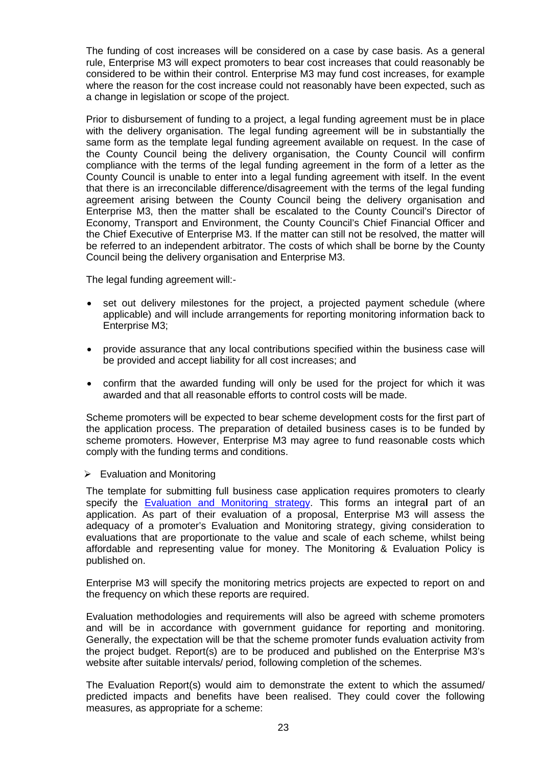The funding of cost increases will be considered on a case by case basis. As a general rule, Enterprise M3 will expect promoters to bear cost increases that could reasonably be considered to be within their control. Enterprise M3 may fund cost increases, for example where the reason for the cost increase could not reasonably have been expected, such as a change in legislation or scope of the project.

Prior to disbursement of funding to a project, a legal funding agreement must be in place with the delivery organisation. The legal funding agreement will be in substantially the same form as the template legal funding agreement available on request. In the case of the County Council being the delivery organisation, the County Council will confirm compliance with the terms of the legal funding agreement in the form of a letter as the County Council is unable to enter into a legal funding agreement with itself. In the event that there is an irreconcilable difference/disagreement with the terms of the legal funding agreement arising between the County Council being the delivery organisation and Enterprise M3, then the matter shall be escalated to the County Council's Director of Economy, Transport and Environment, the County Council's Chief Financial Officer and the Chief Executive of Enterprise M3. If the matter can still not be resolved, the matter will be referred to an independent arbitrator. The costs of which shall be borne by the County Council being the delivery organisation and Enterprise M3.

The legal funding agreement will:-

- set out delivery milestones for the project, a projected payment schedule (where applicable) and will include arrangements for reporting monitoring information back to Enterprise M3;
- provide assurance that any local contributions specified within the business case will be provided and accept liability for all cost increases; and
- confirm that the awarded funding will only be used for the project for which it was awarded and that all reasonable efforts to control costs will be made.

Scheme promoters will be expected to bear scheme development costs for the first part of the application process. The preparation of detailed business cases is to be funded by scheme promoters. However, Enterprise M3 may agree to fund reasonable costs which comply with the funding terms and conditions.

### $\triangleright$  Evaluation and Monitoring

The template for submitting full business case application requires promoters to clearly specify the [Evaluation and Monitoring strategy.](https://www.enterprisem3.org.uk/sites/default/files/2019-09/Monitoring%20%26%20Evaluation%20Policy%20FINAL%20FOR%20WEBSITE.pdf) This forms an integra**l** part of an application. As part of their evaluation of a proposal, Enterprise M3 will assess the adequacy of a promoter's Evaluation and Monitoring strategy, giving consideration to evaluations that are proportionate to the value and scale of each scheme, whilst being affordable and representing value for money. The Monitoring & Evaluation Policy is published on.

Enterprise M3 will specify the monitoring metrics projects are expected to report on and the frequency on which these reports are required.

Evaluation methodologies and requirements will also be agreed with scheme promoters and will be in accordance with government guidance for reporting and monitoring. Generally, the expectation will be that the scheme promoter funds evaluation activity from the project budget. Report(s) are to be produced and published on the Enterprise M3's website after suitable intervals/ period, following completion of the schemes.

The Evaluation Report(s) would aim to demonstrate the extent to which the assumed/ predicted impacts and benefits have been realised. They could cover the following measures, as appropriate for a scheme: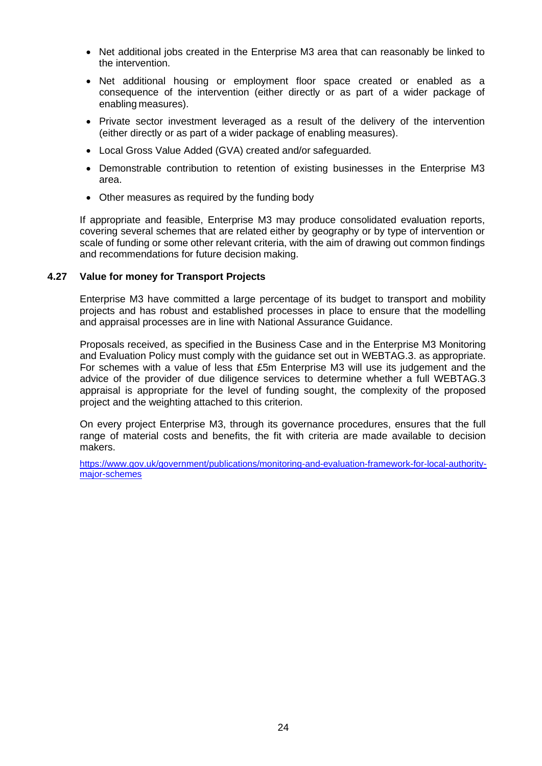- Net additional jobs created in the Enterprise M3 area that can reasonably be linked to the intervention.
- Net additional housing or employment floor space created or enabled as a consequence of the intervention (either directly or as part of a wider package of enabling measures).
- Private sector investment leveraged as a result of the delivery of the intervention (either directly or as part of a wider package of enabling measures).
- Local Gross Value Added (GVA) created and/or safeguarded.
- Demonstrable contribution to retention of existing businesses in the Enterprise M3 area.
- Other measures as required by the funding body

If appropriate and feasible, Enterprise M3 may produce consolidated evaluation reports, covering several schemes that are related either by geography or by type of intervention or scale of funding or some other relevant criteria, with the aim of drawing out common findings and recommendations for future decision making.

### **4.27 Value for money for Transport Projects**

Enterprise M3 have committed a large percentage of its budget to transport and mobility projects and has robust and established processes in place to ensure that the modelling and appraisal processes are in line with National Assurance Guidance.

Proposals received, as specified in the Business Case and in the Enterprise M3 Monitoring and Evaluation Policy must comply with the guidance set out in WEBTAG.3. as appropriate. For schemes with a value of less that £5m Enterprise M3 will use its judgement and the advice of the provider of due diligence services to determine whether a full WEBTAG.3 appraisal is appropriate for the level of funding sought, the complexity of the proposed project and the weighting attached to this criterion.

On every project Enterprise M3, through its governance procedures, ensures that the full range of material costs and benefits, the fit with criteria are made available to decision makers.

[https://www.gov.uk/government/publications/monitoring-and-evaluation-framework-for-local-authority](https://www.gov.uk/government/publications/monitoring-and-evaluation-framework-for-local-authority-major-schemes)[major-schemes](https://www.gov.uk/government/publications/monitoring-and-evaluation-framework-for-local-authority-major-schemes)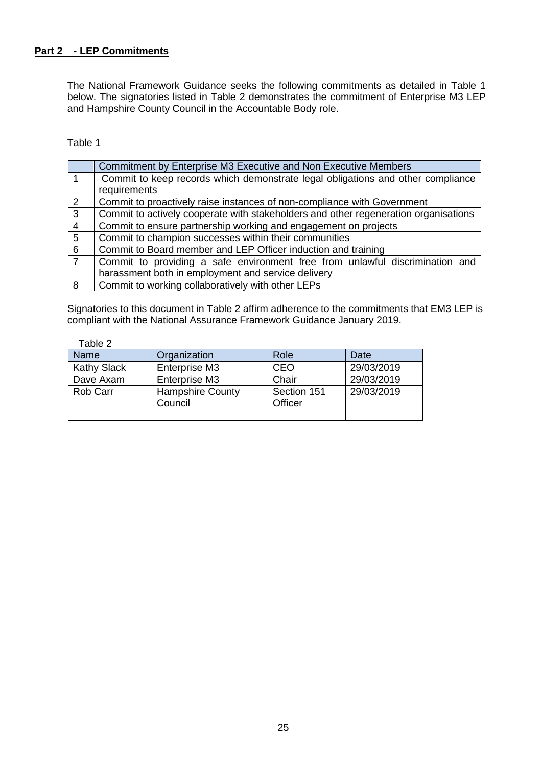## **Part 2 - LEP Commitments**

The National Framework Guidance seeks the following commitments as detailed in Table 1 below. The signatories listed in Table 2 demonstrates the commitment of Enterprise M3 LEP and Hampshire County Council in the Accountable Body role.

Table 1

|                 | Commitment by Enterprise M3 Executive and Non Executive Members                     |
|-----------------|-------------------------------------------------------------------------------------|
| 1               | Commit to keep records which demonstrate legal obligations and other compliance     |
|                 | requirements                                                                        |
| 2               | Commit to proactively raise instances of non-compliance with Government             |
| $\mathbf{3}$    | Commit to actively cooperate with stakeholders and other regeneration organisations |
| $\overline{4}$  | Commit to ensure partnership working and engagement on projects                     |
| $5\overline{5}$ | Commit to champion successes within their communities                               |
| 6               | Commit to Board member and LEP Officer induction and training                       |
| $\overline{7}$  | Commit to providing a safe environment free from unlawful discrimination and        |
|                 | harassment both in employment and service delivery                                  |
| 8               | Commit to working collaboratively with other LEPs                                   |

Signatories to this document in Table 2 affirm adherence to the commitments that EM3 LEP is compliant with the National Assurance Framework Guidance January 2019.

Table 2

| Name               | Organization                       | Role                   | Date       |
|--------------------|------------------------------------|------------------------|------------|
| <b>Kathy Slack</b> | Enterprise M3                      | <b>CEO</b>             | 29/03/2019 |
| Dave Axam          | Enterprise M3                      | Chair                  | 29/03/2019 |
| Rob Carr           | <b>Hampshire County</b><br>Council | Section 151<br>Officer | 29/03/2019 |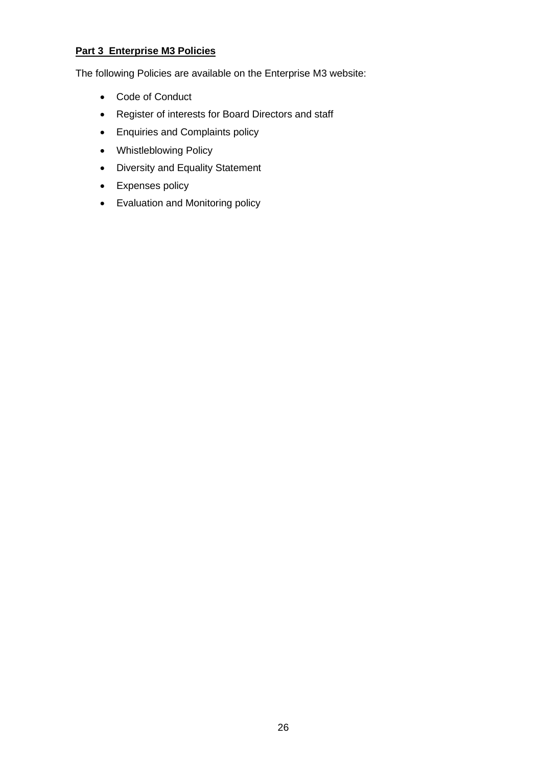## **Part 3 Enterprise M3 Policies**

The following Policies are available on the Enterprise M3 website:

- Code of Conduct
- Register of interests for Board Directors and staff
- Enquiries and Complaints policy
- Whistleblowing Policy
- Diversity and Equality Statement
- Expenses policy
- Evaluation and Monitoring policy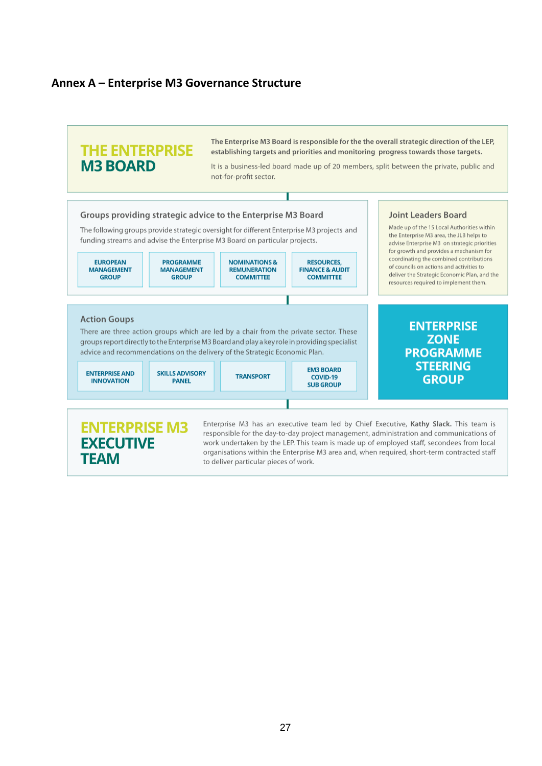## **Annex A – Enterprise M3 Governance Structure**



**EXECUTIVE TEAM** 

responsible for the day-to-day project management, administration and communications of work undertaken by the LEP. This team is made up of employed staff, secondees from local organisations within the Enterprise M3 area and, when required, short-term contracted staff to deliver particular pieces of work.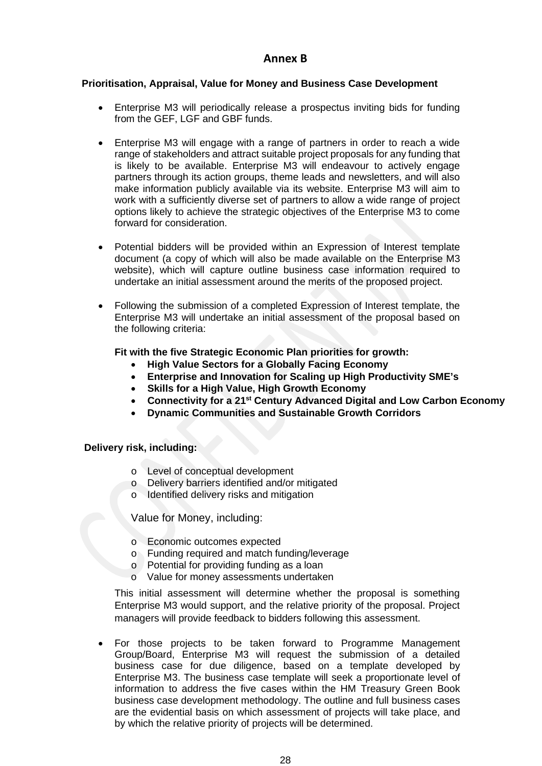## **Annex B**

### **Prioritisation, Appraisal, Value for Money and Business Case Development**

- Enterprise M3 will periodically release a prospectus inviting bids for funding from the GEF, LGF and GBF funds.
- Enterprise M3 will engage with a range of partners in order to reach a wide range of stakeholders and attract suitable project proposals for any funding that is likely to be available. Enterprise M3 will endeavour to actively engage partners through its action groups, theme leads and newsletters, and will also make information publicly available via its website. Enterprise M3 will aim to work with a sufficiently diverse set of partners to allow a wide range of project options likely to achieve the strategic objectives of the Enterprise M3 to come forward for consideration.
- Potential bidders will be provided within an Expression of Interest template document (a copy of which will also be made available on the Enterprise M3 website), which will capture outline business case information required to undertake an initial assessment around the merits of the proposed project.
- Following the submission of a completed Expression of Interest template, the Enterprise M3 will undertake an initial assessment of the proposal based on the following criteria:

### **Fit with the five Strategic Economic Plan priorities for growth:**

- **High Value Sectors for a Globally Facing Economy**
- **Enterprise and Innovation for Scaling up High Productivity SME's**
- **Skills for a High Value, High Growth Economy**
- **Connectivity for a 21st Century Advanced Digital and Low Carbon Economy**
- **Dynamic Communities and Sustainable Growth Corridors**

## **Delivery risk, including:**

- o Level of conceptual development
- o Delivery barriers identified and/or mitigated
- o Identified delivery risks and mitigation

Value for Money, including:

- o Economic outcomes expected
- o Funding required and match funding/leverage
- o Potential for providing funding as a loan
- o Value for money assessments undertaken

This initial assessment will determine whether the proposal is something Enterprise M3 would support, and the relative priority of the proposal. Project managers will provide feedback to bidders following this assessment.

• For those projects to be taken forward to Programme Management Group/Board, Enterprise M3 will request the submission of a detailed business case for due diligence, based on a template developed by Enterprise M3. The business case template will seek a proportionate level of information to address the five cases within the HM Treasury Green Book business case development methodology. The outline and full business cases are the evidential basis on which assessment of projects will take place, and by which the relative priority of projects will be determined.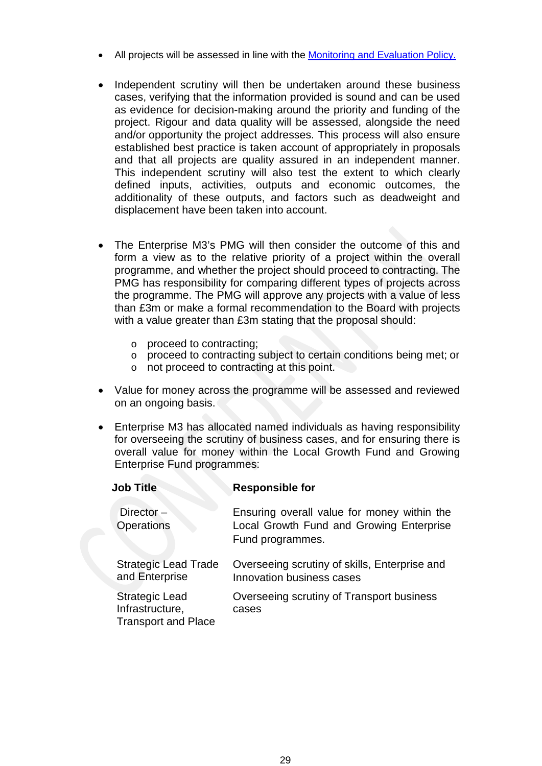- All projects will be assessed in line with the [Monitoring and Evaluation Policy.](https://www.enterprisem3.org.uk/sites/default/files/2019-09/Monitoring%20%26%20Evaluation%20Policy%20FINAL%20FOR%20WEBSITE.pdf)
- Independent scrutiny will then be undertaken around these business cases, verifying that the information provided is sound and can be used as evidence for decision-making around the priority and funding of the project. Rigour and data quality will be assessed, alongside the need and/or opportunity the project addresses. This process will also ensure established best practice is taken account of appropriately in proposals and that all projects are quality assured in an independent manner. This independent scrutiny will also test the extent to which clearly defined inputs, activities, outputs and economic outcomes, the additionality of these outputs, and factors such as deadweight and displacement have been taken into account.
- The Enterprise M3's PMG will then consider the outcome of this and form a view as to the relative priority of a project within the overall programme, and whether the project should proceed to contracting. The PMG has responsibility for comparing different types of projects across the programme. The PMG will approve any projects with a value of less than £3m or make a formal recommendation to the Board with projects with a value greater than £3m stating that the proposal should:
	- o proceed to contracting;
	- o proceed to contracting subject to certain conditions being met; or
	- o not proceed to contracting at this point.
- Value for money across the programme will be assessed and reviewed on an ongoing basis.
- Enterprise M3 has allocated named individuals as having responsibility for overseeing the scrutiny of business cases, and for ensuring there is overall value for money within the Local Growth Fund and Growing Enterprise Fund programmes:

| <b>Job Title</b>                                                | <b>Responsible for</b>                                                                                      |
|-----------------------------------------------------------------|-------------------------------------------------------------------------------------------------------------|
| Director $-$<br><b>Operations</b>                               | Ensuring overall value for money within the<br>Local Growth Fund and Growing Enterprise<br>Fund programmes. |
| <b>Strategic Lead Trade</b><br>and Enterprise                   | Overseeing scrutiny of skills, Enterprise and<br>Innovation business cases                                  |
| Strategic Lead<br>Infrastructure,<br><b>Transport and Place</b> | Overseeing scrutiny of Transport business<br>cases                                                          |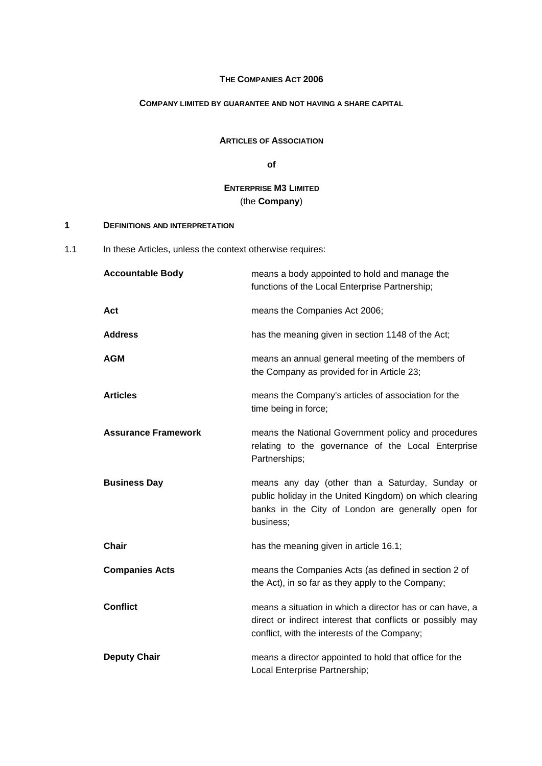### **THE COMPANIES ACT 2006**

### **COMPANY LIMITED BY GUARANTEE AND NOT HAVING A SHARE CAPITAL**

### **ARTICLES OF ASSOCIATION**

**of** 

## **ENTERPRISE M3 LIMITED** (the **Company**)

### **1 DEFINITIONS AND INTERPRETATION**

1.1 In these Articles, unless the context otherwise requires:

| <b>Accountable Body</b>    | means a body appointed to hold and manage the<br>functions of the Local Enterprise Partnership;                                                                               |
|----------------------------|-------------------------------------------------------------------------------------------------------------------------------------------------------------------------------|
| Act                        | means the Companies Act 2006;                                                                                                                                                 |
| <b>Address</b>             | has the meaning given in section 1148 of the Act;                                                                                                                             |
| <b>AGM</b>                 | means an annual general meeting of the members of<br>the Company as provided for in Article 23;                                                                               |
| <b>Articles</b>            | means the Company's articles of association for the<br>time being in force;                                                                                                   |
| <b>Assurance Framework</b> | means the National Government policy and procedures<br>relating to the governance of the Local Enterprise<br>Partnerships;                                                    |
| <b>Business Day</b>        | means any day (other than a Saturday, Sunday or<br>public holiday in the United Kingdom) on which clearing<br>banks in the City of London are generally open for<br>business; |
| Chair                      | has the meaning given in article 16.1;                                                                                                                                        |
| <b>Companies Acts</b>      | means the Companies Acts (as defined in section 2 of<br>the Act), in so far as they apply to the Company;                                                                     |
| <b>Conflict</b>            | means a situation in which a director has or can have, a<br>direct or indirect interest that conflicts or possibly may<br>conflict, with the interests of the Company;        |
| <b>Deputy Chair</b>        | means a director appointed to hold that office for the<br>Local Enterprise Partnership;                                                                                       |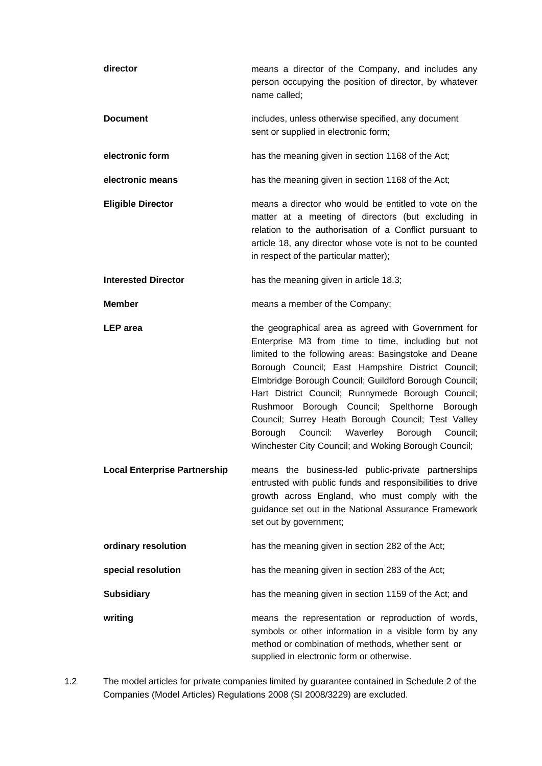| director                            | means a director of the Company, and includes any<br>person occupying the position of director, by whatever<br>name called;                                                                                                                                                                                                                                                                                                                                                                                                                             |
|-------------------------------------|---------------------------------------------------------------------------------------------------------------------------------------------------------------------------------------------------------------------------------------------------------------------------------------------------------------------------------------------------------------------------------------------------------------------------------------------------------------------------------------------------------------------------------------------------------|
| <b>Document</b>                     | includes, unless otherwise specified, any document<br>sent or supplied in electronic form;                                                                                                                                                                                                                                                                                                                                                                                                                                                              |
| electronic form                     | has the meaning given in section 1168 of the Act;                                                                                                                                                                                                                                                                                                                                                                                                                                                                                                       |
| electronic means                    | has the meaning given in section 1168 of the Act;                                                                                                                                                                                                                                                                                                                                                                                                                                                                                                       |
| <b>Eligible Director</b>            | means a director who would be entitled to vote on the<br>matter at a meeting of directors (but excluding in<br>relation to the authorisation of a Conflict pursuant to<br>article 18, any director whose vote is not to be counted<br>in respect of the particular matter);                                                                                                                                                                                                                                                                             |
| <b>Interested Director</b>          | has the meaning given in article 18.3;                                                                                                                                                                                                                                                                                                                                                                                                                                                                                                                  |
| <b>Member</b>                       | means a member of the Company;                                                                                                                                                                                                                                                                                                                                                                                                                                                                                                                          |
| <b>LEP</b> area                     | the geographical area as agreed with Government for<br>Enterprise M3 from time to time, including but not<br>limited to the following areas: Basingstoke and Deane<br>Borough Council; East Hampshire District Council;<br>Elmbridge Borough Council; Guildford Borough Council;<br>Hart District Council; Runnymede Borough Council;<br>Rushmoor Borough Council; Spelthorne Borough<br>Council; Surrey Heath Borough Council; Test Valley<br>Borough<br>Council:<br>Waverley Borough Council;<br>Winchester City Council; and Woking Borough Council; |
| <b>Local Enterprise Partnership</b> | means the business-led public-private partnerships<br>entrusted with public funds and responsibilities to drive<br>growth across England, who must comply with the<br>guidance set out in the National Assurance Framework<br>set out by government;                                                                                                                                                                                                                                                                                                    |
| ordinary resolution                 | has the meaning given in section 282 of the Act;                                                                                                                                                                                                                                                                                                                                                                                                                                                                                                        |
| special resolution                  | has the meaning given in section 283 of the Act;                                                                                                                                                                                                                                                                                                                                                                                                                                                                                                        |
| <b>Subsidiary</b>                   | has the meaning given in section 1159 of the Act; and                                                                                                                                                                                                                                                                                                                                                                                                                                                                                                   |
| writing                             | means the representation or reproduction of words,<br>symbols or other information in a visible form by any<br>method or combination of methods, whether sent or<br>supplied in electronic form or otherwise.                                                                                                                                                                                                                                                                                                                                           |

1.2 The model articles for private companies limited by guarantee contained in Schedule 2 of the Companies (Model Articles) Regulations 2008 (SI 2008/3229) are excluded.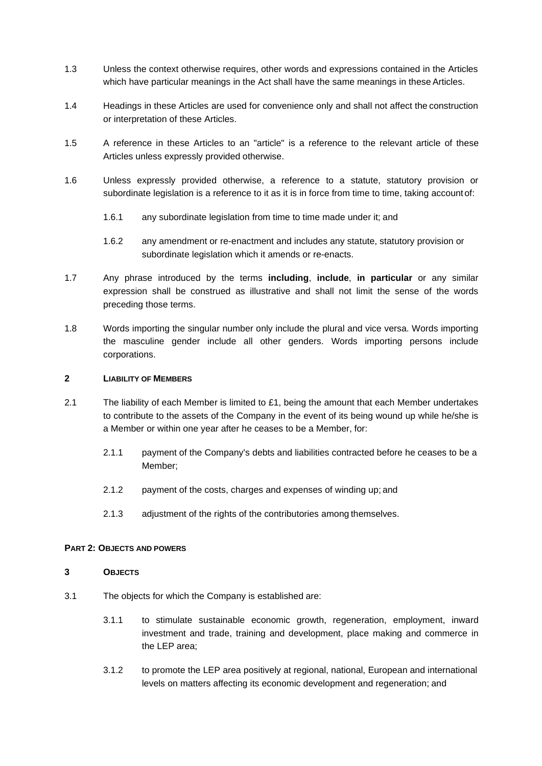- 1.3 Unless the context otherwise requires, other words and expressions contained in the Articles which have particular meanings in the Act shall have the same meanings in these Articles.
- 1.4 Headings in these Articles are used for convenience only and shall not affect the construction or interpretation of these Articles.
- 1.5 A reference in these Articles to an "article" is a reference to the relevant article of these Articles unless expressly provided otherwise.
- 1.6 Unless expressly provided otherwise, a reference to a statute, statutory provision or subordinate legislation is a reference to it as it is in force from time to time, taking account of:
	- 1.6.1 any subordinate legislation from time to time made under it; and
	- 1.6.2 any amendment or re-enactment and includes any statute, statutory provision or subordinate legislation which it amends or re-enacts.
- 1.7 Any phrase introduced by the terms **including**, **include**, **in particular** or any similar expression shall be construed as illustrative and shall not limit the sense of the words preceding those terms.
- 1.8 Words importing the singular number only include the plural and vice versa. Words importing the masculine gender include all other genders. Words importing persons include corporations.

### **2 LIABILITY OF MEMBERS**

- 2.1 The liability of each Member is limited to £1, being the amount that each Member undertakes to contribute to the assets of the Company in the event of its being wound up while he/she is a Member or within one year after he ceases to be a Member, for:
	- 2.1.1 payment of the Company's debts and liabilities contracted before he ceases to be a Member;
	- 2.1.2 payment of the costs, charges and expenses of winding up; and
	- 2.1.3 adjustment of the rights of the contributories among themselves.

#### **PART 2: OBJECTS AND POWERS**

### **3 OBJECTS**

- 3.1 The objects for which the Company is established are:
	- 3.1.1 to stimulate sustainable economic growth, regeneration, employment, inward investment and trade, training and development, place making and commerce in the LEP area;
	- 3.1.2 to promote the LEP area positively at regional, national, European and international levels on matters affecting its economic development and regeneration; and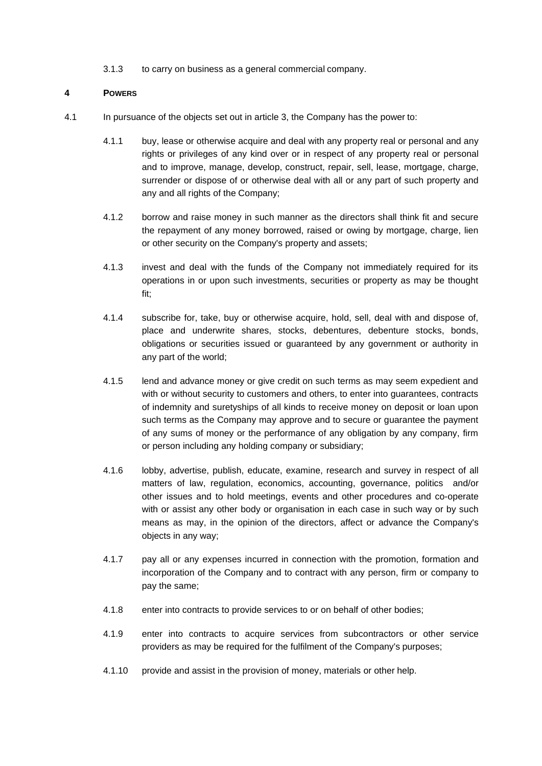3.1.3 to carry on business as a general commercial company.

### **4 POWERS**

- 4.1 In pursuance of the objects set out in article 3, the Company has the power to:
	- 4.1.1 buy, lease or otherwise acquire and deal with any property real or personal and any rights or privileges of any kind over or in respect of any property real or personal and to improve, manage, develop, construct, repair, sell, lease, mortgage, charge, surrender or dispose of or otherwise deal with all or any part of such property and any and all rights of the Company;
	- 4.1.2 borrow and raise money in such manner as the directors shall think fit and secure the repayment of any money borrowed, raised or owing by mortgage, charge, lien or other security on the Company's property and assets;
	- 4.1.3 invest and deal with the funds of the Company not immediately required for its operations in or upon such investments, securities or property as may be thought fit;
	- 4.1.4 subscribe for, take, buy or otherwise acquire, hold, sell, deal with and dispose of, place and underwrite shares, stocks, debentures, debenture stocks, bonds, obligations or securities issued or guaranteed by any government or authority in any part of the world;
	- 4.1.5 lend and advance money or give credit on such terms as may seem expedient and with or without security to customers and others, to enter into guarantees, contracts of indemnity and suretyships of all kinds to receive money on deposit or loan upon such terms as the Company may approve and to secure or guarantee the payment of any sums of money or the performance of any obligation by any company, firm or person including any holding company or subsidiary;
	- 4.1.6 lobby, advertise, publish, educate, examine, research and survey in respect of all matters of law, regulation, economics, accounting, governance, politics and/or other issues and to hold meetings, events and other procedures and co-operate with or assist any other body or organisation in each case in such way or by such means as may, in the opinion of the directors, affect or advance the Company's objects in any way;
	- 4.1.7 pay all or any expenses incurred in connection with the promotion, formation and incorporation of the Company and to contract with any person, firm or company to pay the same;
	- 4.1.8 enter into contracts to provide services to or on behalf of other bodies;
	- 4.1.9 enter into contracts to acquire services from subcontractors or other service providers as may be required for the fulfilment of the Company's purposes;
	- 4.1.10 provide and assist in the provision of money, materials or other help.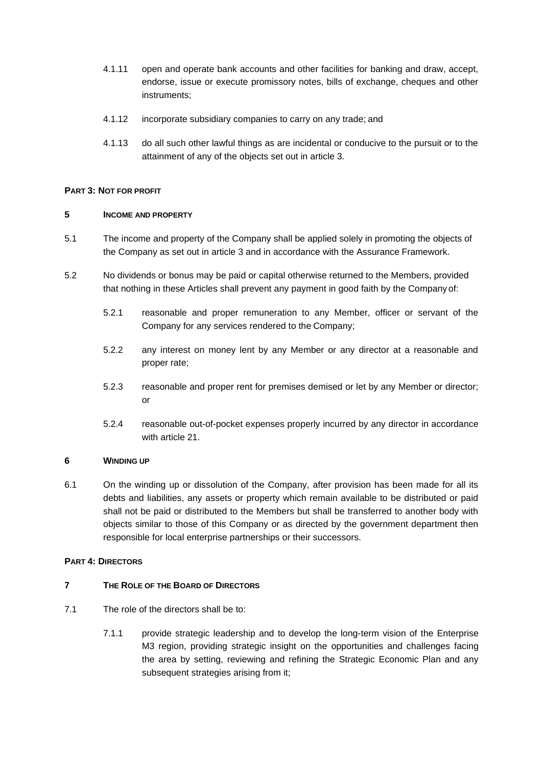- 4.1.11 open and operate bank accounts and other facilities for banking and draw, accept, endorse, issue or execute promissory notes, bills of exchange, cheques and other instruments;
- 4.1.12 incorporate subsidiary companies to carry on any trade; and
- 4.1.13 do all such other lawful things as are incidental or conducive to the pursuit or to the attainment of any of the objects set out in article 3.

### **PART 3: NOT FOR PROFIT**

### **5 INCOME AND PROPERTY**

- 5.1 The income and property of the Company shall be applied solely in promoting the objects of the Company as set out in article 3 and in accordance with the Assurance Framework.
- 5.2 No dividends or bonus may be paid or capital otherwise returned to the Members, provided that nothing in these Articles shall prevent any payment in good faith by the Company of:
	- 5.2.1 reasonable and proper remuneration to any Member, officer or servant of the Company for any services rendered to the Company;
	- 5.2.2 any interest on money lent by any Member or any director at a reasonable and proper rate;
	- 5.2.3 reasonable and proper rent for premises demised or let by any Member or director; or
	- 5.2.4 reasonable out-of-pocket expenses properly incurred by any director in accordance with article 21.

### **6 WINDING UP**

6.1 On the winding up or dissolution of the Company, after provision has been made for all its debts and liabilities, any assets or property which remain available to be distributed or paid shall not be paid or distributed to the Members but shall be transferred to another body with objects similar to those of this Company or as directed by the government department then responsible for local enterprise partnerships or their successors.

### **PART 4: DIRECTORS**

### **7 THE ROLE OF THE BOARD OF DIRECTORS**

- 7.1 The role of the directors shall be to:
	- 7.1.1 provide strategic leadership and to develop the long-term vision of the Enterprise M3 region, providing strategic insight on the opportunities and challenges facing the area by setting, reviewing and refining the Strategic Economic Plan and any subsequent strategies arising from it;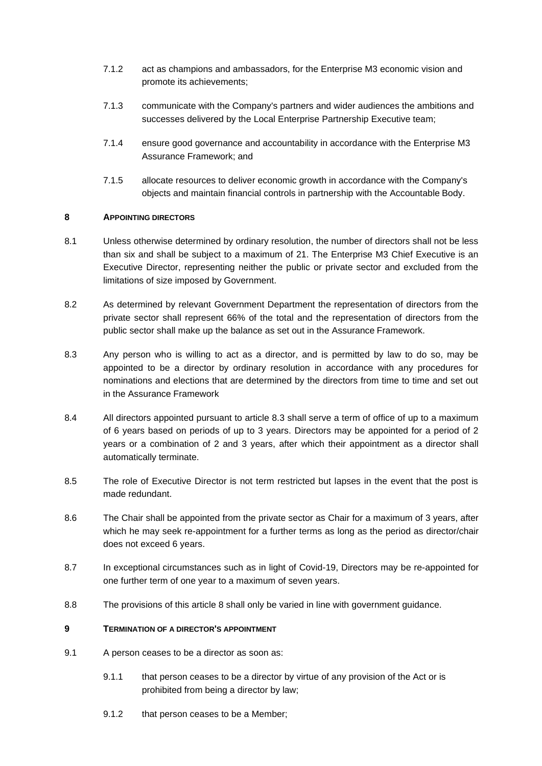- 7.1.2 act as champions and ambassadors, for the Enterprise M3 economic vision and promote its achievements;
- 7.1.3 communicate with the Company's partners and wider audiences the ambitions and successes delivered by the Local Enterprise Partnership Executive team;
- 7.1.4 ensure good governance and accountability in accordance with the Enterprise M3 Assurance Framework; and
- 7.1.5 allocate resources to deliver economic growth in accordance with the Company's objects and maintain financial controls in partnership with the Accountable Body.

### **8 APPOINTING DIRECTORS**

- 8.1 Unless otherwise determined by ordinary resolution, the number of directors shall not be less than six and shall be subject to a maximum of 21. The Enterprise M3 Chief Executive is an Executive Director, representing neither the public or private sector and excluded from the limitations of size imposed by Government.
- 8.2 As determined by relevant Government Department the representation of directors from the private sector shall represent 66% of the total and the representation of directors from the public sector shall make up the balance as set out in the Assurance Framework.
- 8.3 Any person who is willing to act as a director, and is permitted by law to do so, may be appointed to be a director by ordinary resolution in accordance with any procedures for nominations and elections that are determined by the directors from time to time and set out in the Assurance Framework
- 8.4 All directors appointed pursuant to article 8.3 shall serve a term of office of up to a maximum of 6 years based on periods of up to 3 years. Directors may be appointed for a period of 2 years or a combination of 2 and 3 years, after which their appointment as a director shall automatically terminate.
- 8.5 The role of Executive Director is not term restricted but lapses in the event that the post is made redundant.
- 8.6 The Chair shall be appointed from the private sector as Chair for a maximum of 3 years, after which he may seek re-appointment for a further terms as long as the period as director/chair does not exceed 6 years.
- 8.7 In exceptional circumstances such as in light of Covid-19, Directors may be re-appointed for one further term of one year to a maximum of seven years.
- 8.8 The provisions of this article 8 shall only be varied in line with government guidance.

### **9 TERMINATION OF A DIRECTOR'S APPOINTMENT**

- 9.1 A person ceases to be a director as soon as:
	- 9.1.1 that person ceases to be a director by virtue of any provision of the Act or is prohibited from being a director by law;
	- 9.1.2 that person ceases to be a Member;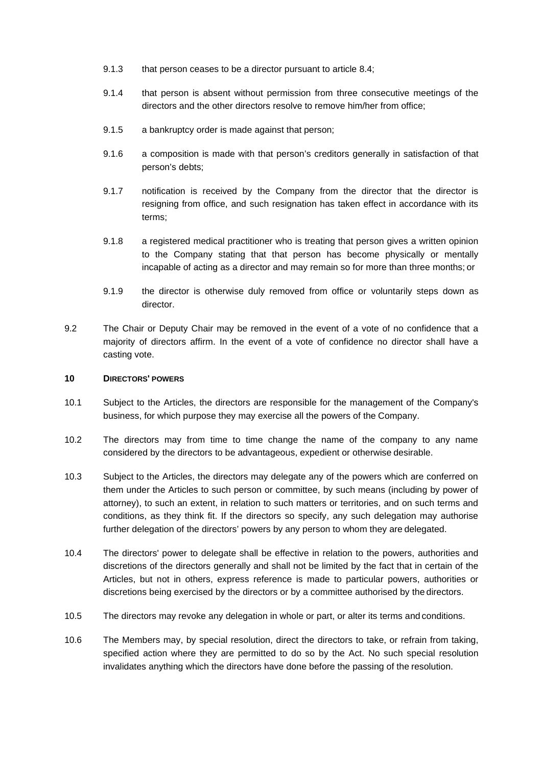- 9.1.3 that person ceases to be a director pursuant to article 8.4;
- 9.1.4 that person is absent without permission from three consecutive meetings of the directors and the other directors resolve to remove him/her from office;
- 9.1.5 a bankruptcy order is made against that person;
- 9.1.6 a composition is made with that person's creditors generally in satisfaction of that person's debts;
- 9.1.7 notification is received by the Company from the director that the director is resigning from office, and such resignation has taken effect in accordance with its terms;
- 9.1.8 a registered medical practitioner who is treating that person gives a written opinion to the Company stating that that person has become physically or mentally incapable of acting as a director and may remain so for more than three months; or
- 9.1.9 the director is otherwise duly removed from office or voluntarily steps down as director.
- 9.2 The Chair or Deputy Chair may be removed in the event of a vote of no confidence that a majority of directors affirm. In the event of a vote of confidence no director shall have a casting vote.

#### **10 DIRECTORS' POWERS**

- 10.1 Subject to the Articles, the directors are responsible for the management of the Company's business, for which purpose they may exercise all the powers of the Company.
- 10.2 The directors may from time to time change the name of the company to any name considered by the directors to be advantageous, expedient or otherwise desirable.
- 10.3 Subject to the Articles, the directors may delegate any of the powers which are conferred on them under the Articles to such person or committee, by such means (including by power of attorney), to such an extent, in relation to such matters or territories, and on such terms and conditions, as they think fit. If the directors so specify, any such delegation may authorise further delegation of the directors' powers by any person to whom they are delegated.
- 10.4 The directors' power to delegate shall be effective in relation to the powers, authorities and discretions of the directors generally and shall not be limited by the fact that in certain of the Articles, but not in others, express reference is made to particular powers, authorities or discretions being exercised by the directors or by a committee authorised by the directors.
- 10.5 The directors may revoke any delegation in whole or part, or alter its terms and conditions.
- 10.6 The Members may, by special resolution, direct the directors to take, or refrain from taking, specified action where they are permitted to do so by the Act. No such special resolution invalidates anything which the directors have done before the passing of the resolution.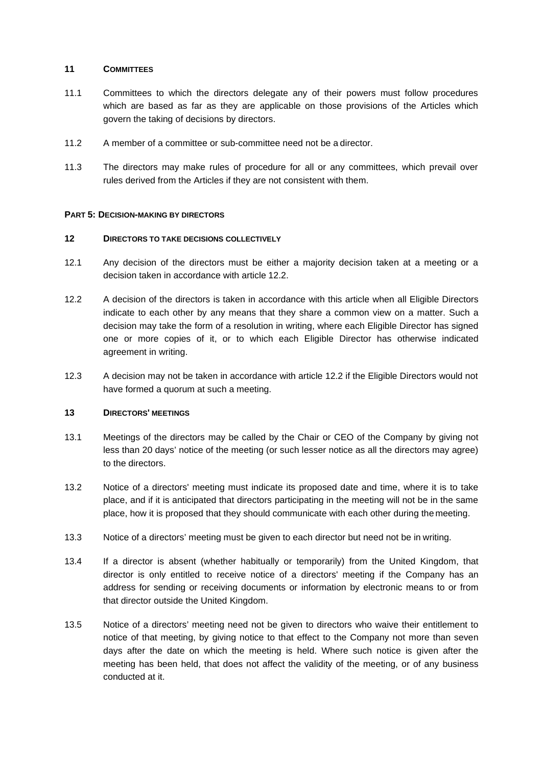### **11 COMMITTEES**

- 11.1 Committees to which the directors delegate any of their powers must follow procedures which are based as far as they are applicable on those provisions of the Articles which govern the taking of decisions by directors.
- 11.2 A member of a committee or sub-committee need not be a director.
- 11.3 The directors may make rules of procedure for all or any committees, which prevail over rules derived from the Articles if they are not consistent with them.

### **PART 5: DECISION-MAKING BY DIRECTORS**

### **12 DIRECTORS TO TAKE DECISIONS COLLECTIVELY**

- 12.1 Any decision of the directors must be either a majority decision taken at a meeting or a decision taken in accordance with article 12.2.
- 12.2 A decision of the directors is taken in accordance with this article when all Eligible Directors indicate to each other by any means that they share a common view on a matter. Such a decision may take the form of a resolution in writing, where each Eligible Director has signed one or more copies of it, or to which each Eligible Director has otherwise indicated agreement in writing.
- 12.3 A decision may not be taken in accordance with article 12.2 if the Eligible Directors would not have formed a quorum at such a meeting.

### **13 DIRECTORS' MEETINGS**

- 13.1 Meetings of the directors may be called by the Chair or CEO of the Company by giving not less than 20 days' notice of the meeting (or such lesser notice as all the directors may agree) to the directors.
- 13.2 Notice of a directors' meeting must indicate its proposed date and time, where it is to take place, and if it is anticipated that directors participating in the meeting will not be in the same place, how it is proposed that they should communicate with each other during the meeting.
- 13.3 Notice of a directors' meeting must be given to each director but need not be in writing.
- 13.4 If a director is absent (whether habitually or temporarily) from the United Kingdom, that director is only entitled to receive notice of a directors' meeting if the Company has an address for sending or receiving documents or information by electronic means to or from that director outside the United Kingdom.
- 13.5 Notice of a directors' meeting need not be given to directors who waive their entitlement to notice of that meeting, by giving notice to that effect to the Company not more than seven days after the date on which the meeting is held. Where such notice is given after the meeting has been held, that does not affect the validity of the meeting, or of any business conducted at it.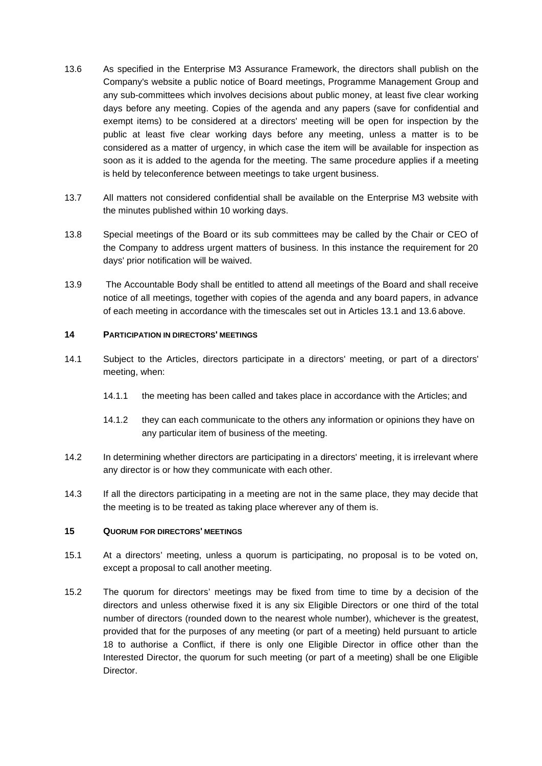- 13.6 As specified in the Enterprise M3 Assurance Framework, the directors shall publish on the Company's website a public notice of Board meetings, Programme Management Group and any sub-committees which involves decisions about public money, at least five clear working days before any meeting. Copies of the agenda and any papers (save for confidential and exempt items) to be considered at a directors' meeting will be open for inspection by the public at least five clear working days before any meeting, unless a matter is to be considered as a matter of urgency, in which case the item will be available for inspection as soon as it is added to the agenda for the meeting. The same procedure applies if a meeting is held by teleconference between meetings to take urgent business.
- 13.7 All matters not considered confidential shall be available on the Enterprise M3 website with the minutes published within 10 working days.
- 13.8 Special meetings of the Board or its sub committees may be called by the Chair or CEO of the Company to address urgent matters of business. In this instance the requirement for 20 days' prior notification will be waived.
- 13.9 The Accountable Body shall be entitled to attend all meetings of the Board and shall receive notice of all meetings, together with copies of the agenda and any board papers, in advance of each meeting in accordance with the timescales set out in Articles 13.1 and 13.6 above.

### **14 PARTICIPATION IN DIRECTORS' MEETINGS**

- 14.1 Subject to the Articles, directors participate in a directors' meeting, or part of a directors' meeting, when:
	- 14.1.1 the meeting has been called and takes place in accordance with the Articles; and
	- 14.1.2 they can each communicate to the others any information or opinions they have on any particular item of business of the meeting.
- 14.2 In determining whether directors are participating in a directors' meeting, it is irrelevant where any director is or how they communicate with each other.
- 14.3 If all the directors participating in a meeting are not in the same place, they may decide that the meeting is to be treated as taking place wherever any of them is.

#### **15 QUORUM FOR DIRECTORS' MEETINGS**

- 15.1 At a directors' meeting, unless a quorum is participating, no proposal is to be voted on, except a proposal to call another meeting.
- 15.2 The quorum for directors' meetings may be fixed from time to time by a decision of the directors and unless otherwise fixed it is any six Eligible Directors or one third of the total number of directors (rounded down to the nearest whole number), whichever is the greatest, provided that for the purposes of any meeting (or part of a meeting) held pursuant to article 18 to authorise a Conflict, if there is only one Eligible Director in office other than the Interested Director, the quorum for such meeting (or part of a meeting) shall be one Eligible Director.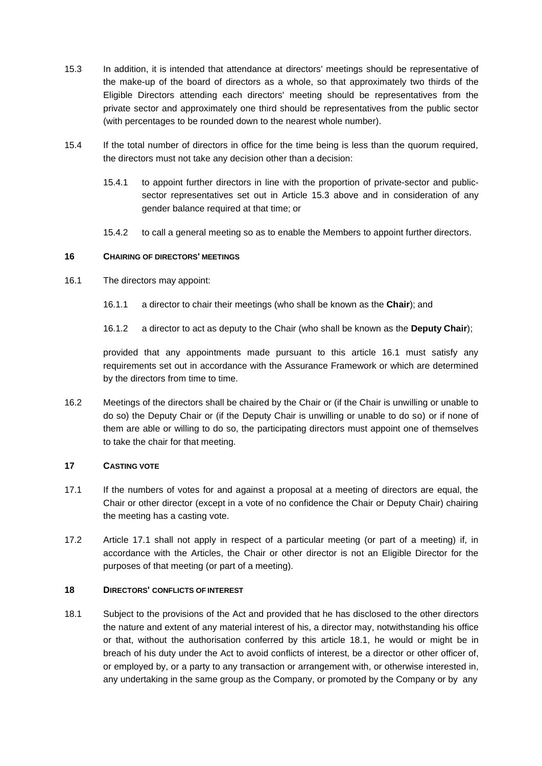- 15.3 In addition, it is intended that attendance at directors' meetings should be representative of the make-up of the board of directors as a whole, so that approximately two thirds of the Eligible Directors attending each directors' meeting should be representatives from the private sector and approximately one third should be representatives from the public sector (with percentages to be rounded down to the nearest whole number).
- 15.4 If the total number of directors in office for the time being is less than the quorum required, the directors must not take any decision other than a decision:
	- 15.4.1 to appoint further directors in line with the proportion of private-sector and publicsector representatives set out in Article 15.3 above and in consideration of any gender balance required at that time; or
	- 15.4.2 to call a general meeting so as to enable the Members to appoint further directors.

### **16 CHAIRING OF DIRECTORS' MEETINGS**

- 16.1 The directors may appoint:
	- 16.1.1 a director to chair their meetings (who shall be known as the **Chair**); and
	- 16.1.2 a director to act as deputy to the Chair (who shall be known as the **Deputy Chair**);

provided that any appointments made pursuant to this article 16.1 must satisfy any requirements set out in accordance with the Assurance Framework or which are determined by the directors from time to time.

16.2 Meetings of the directors shall be chaired by the Chair or (if the Chair is unwilling or unable to do so) the Deputy Chair or (if the Deputy Chair is unwilling or unable to do so) or if none of them are able or willing to do so, the participating directors must appoint one of themselves to take the chair for that meeting.

### **17 CASTING VOTE**

- 17.1 If the numbers of votes for and against a proposal at a meeting of directors are equal, the Chair or other director (except in a vote of no confidence the Chair or Deputy Chair) chairing the meeting has a casting vote.
- 17.2 Article 17.1 shall not apply in respect of a particular meeting (or part of a meeting) if, in accordance with the Articles, the Chair or other director is not an Eligible Director for the purposes of that meeting (or part of a meeting).

#### **18 DIRECTORS' CONFLICTS OF INTEREST**

18.1 Subject to the provisions of the Act and provided that he has disclosed to the other directors the nature and extent of any material interest of his, a director may, notwithstanding his office or that, without the authorisation conferred by this article 18.1, he would or might be in breach of his duty under the Act to avoid conflicts of interest, be a director or other officer of, or employed by, or a party to any transaction or arrangement with, or otherwise interested in, any undertaking in the same group as the Company, or promoted by the Company or by any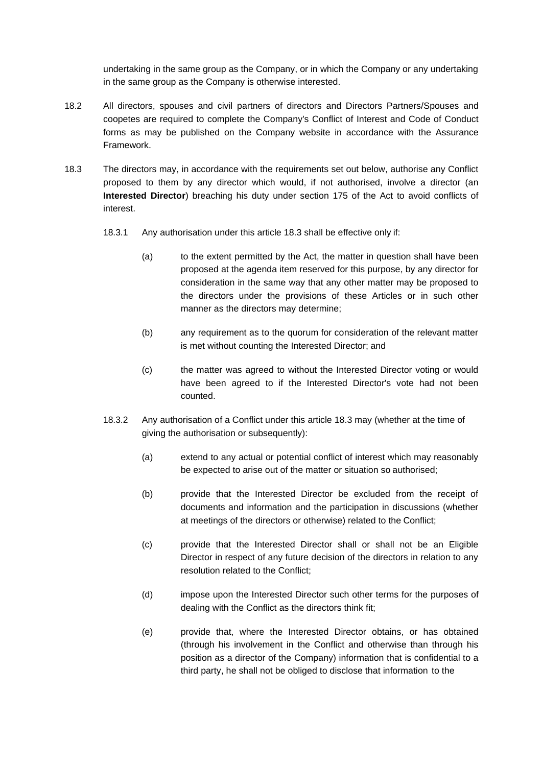undertaking in the same group as the Company, or in which the Company or any undertaking in the same group as the Company is otherwise interested.

- 18.2 All directors, spouses and civil partners of directors and Directors Partners/Spouses and coopetes are required to complete the Company's Conflict of Interest and Code of Conduct forms as may be published on the Company website in accordance with the Assurance Framework.
- 18.3 The directors may, in accordance with the requirements set out below, authorise any Conflict proposed to them by any director which would, if not authorised, involve a director (an **Interested Director**) breaching his duty under section 175 of the Act to avoid conflicts of interest.
	- 18.3.1 Any authorisation under this article 18.3 shall be effective only if:
		- (a) to the extent permitted by the Act, the matter in question shall have been proposed at the agenda item reserved for this purpose, by any director for consideration in the same way that any other matter may be proposed to the directors under the provisions of these Articles or in such other manner as the directors may determine;
		- (b) any requirement as to the quorum for consideration of the relevant matter is met without counting the Interested Director; and
		- (c) the matter was agreed to without the Interested Director voting or would have been agreed to if the Interested Director's vote had not been counted.
	- 18.3.2 Any authorisation of a Conflict under this article 18.3 may (whether at the time of giving the authorisation or subsequently):
		- (a) extend to any actual or potential conflict of interest which may reasonably be expected to arise out of the matter or situation so authorised;
		- (b) provide that the Interested Director be excluded from the receipt of documents and information and the participation in discussions (whether at meetings of the directors or otherwise) related to the Conflict;
		- (c) provide that the Interested Director shall or shall not be an Eligible Director in respect of any future decision of the directors in relation to any resolution related to the Conflict;
		- (d) impose upon the Interested Director such other terms for the purposes of dealing with the Conflict as the directors think fit;
		- (e) provide that, where the Interested Director obtains, or has obtained (through his involvement in the Conflict and otherwise than through his position as a director of the Company) information that is confidential to a third party, he shall not be obliged to disclose that information to the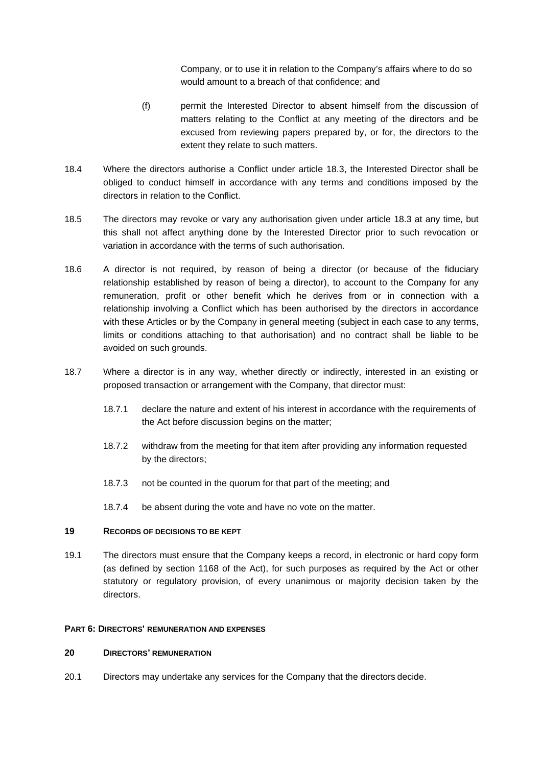Company, or to use it in relation to the Company's affairs where to do so would amount to a breach of that confidence; and

- (f) permit the Interested Director to absent himself from the discussion of matters relating to the Conflict at any meeting of the directors and be excused from reviewing papers prepared by, or for, the directors to the extent they relate to such matters.
- 18.4 Where the directors authorise a Conflict under article 18.3, the Interested Director shall be obliged to conduct himself in accordance with any terms and conditions imposed by the directors in relation to the Conflict.
- 18.5 The directors may revoke or vary any authorisation given under article 18.3 at any time, but this shall not affect anything done by the Interested Director prior to such revocation or variation in accordance with the terms of such authorisation.
- 18.6 A director is not required, by reason of being a director (or because of the fiduciary relationship established by reason of being a director), to account to the Company for any remuneration, profit or other benefit which he derives from or in connection with a relationship involving a Conflict which has been authorised by the directors in accordance with these Articles or by the Company in general meeting (subject in each case to any terms, limits or conditions attaching to that authorisation) and no contract shall be liable to be avoided on such grounds.
- 18.7 Where a director is in any way, whether directly or indirectly, interested in an existing or proposed transaction or arrangement with the Company, that director must:
	- 18.7.1 declare the nature and extent of his interest in accordance with the requirements of the Act before discussion begins on the matter;
	- 18.7.2 withdraw from the meeting for that item after providing any information requested by the directors;
	- 18.7.3 not be counted in the quorum for that part of the meeting; and
	- 18.7.4 be absent during the vote and have no vote on the matter.

#### **19 RECORDS OF DECISIONS TO BE KEPT**

19.1 The directors must ensure that the Company keeps a record, in electronic or hard copy form (as defined by section 1168 of the Act), for such purposes as required by the Act or other statutory or regulatory provision, of every unanimous or majority decision taken by the directors.

#### **PART 6: DIRECTORS' REMUNERATION AND EXPENSES**

### **20 DIRECTORS' REMUNERATION**

20.1 Directors may undertake any services for the Company that the directors decide.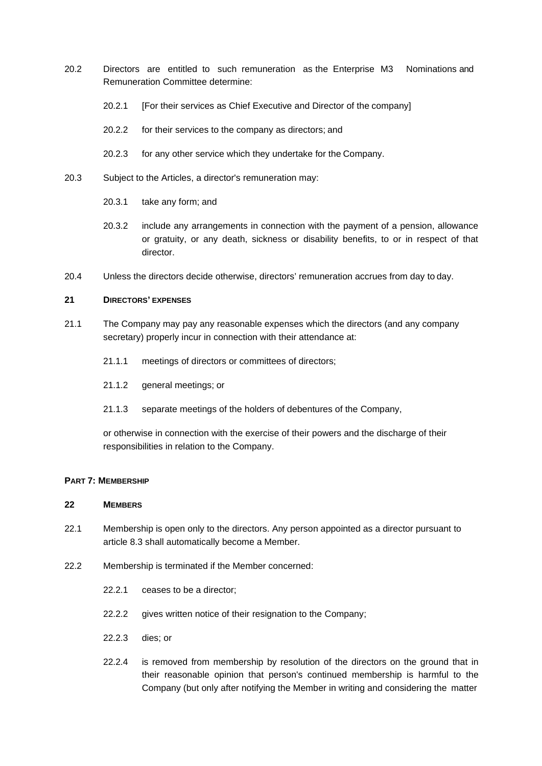- 20.2 Directors are entitled to such remuneration as the Enterprise M3 Nominations and Remuneration Committee determine:
	- 20.2.1 [For their services as Chief Executive and Director of the company]
	- 20.2.2 for their services to the company as directors; and
	- 20.2.3 for any other service which they undertake for the Company.
- 20.3 Subject to the Articles, a director's remuneration may:
	- 20.3.1 take any form; and
	- 20.3.2 include any arrangements in connection with the payment of a pension, allowance or gratuity, or any death, sickness or disability benefits, to or in respect of that director.
- 20.4 Unless the directors decide otherwise, directors' remuneration accrues from day to day.

### **21 DIRECTORS' EXPENSES**

- 21.1 The Company may pay any reasonable expenses which the directors (and any company secretary) properly incur in connection with their attendance at:
	- 21.1.1 meetings of directors or committees of directors;
	- 21.1.2 general meetings; or
	- 21.1.3 separate meetings of the holders of debentures of the Company,

or otherwise in connection with the exercise of their powers and the discharge of their responsibilities in relation to the Company.

#### **PART 7: MEMBERSHIP**

### **22 MEMBERS**

- 22.1 Membership is open only to the directors. Any person appointed as a director pursuant to article 8.3 shall automatically become a Member.
- 22.2 Membership is terminated if the Member concerned:
	- 22.2.1 ceases to be a director;
	- 22.2.2 gives written notice of their resignation to the Company;
	- 22.2.3 dies; or
	- 22.2.4 is removed from membership by resolution of the directors on the ground that in their reasonable opinion that person's continued membership is harmful to the Company (but only after notifying the Member in writing and considering the matter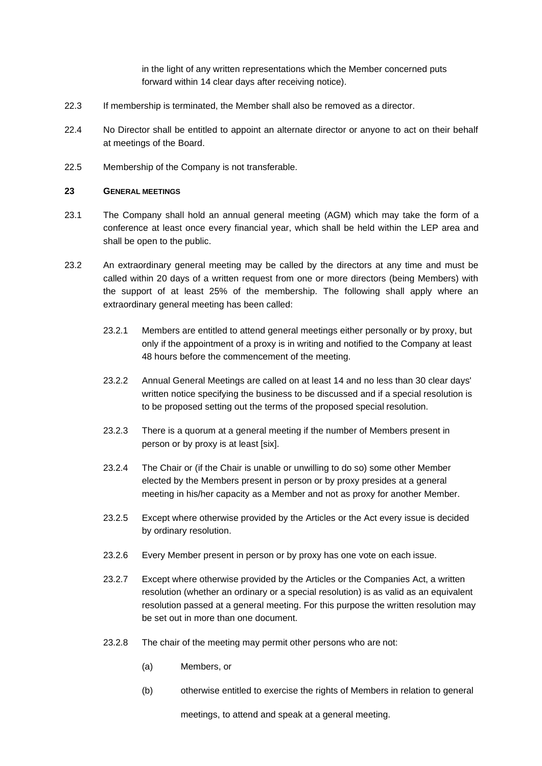in the light of any written representations which the Member concerned puts forward within 14 clear days after receiving notice).

- 22.3 If membership is terminated, the Member shall also be removed as a director.
- 22.4 No Director shall be entitled to appoint an alternate director or anyone to act on their behalf at meetings of the Board.
- 22.5 Membership of the Company is not transferable.

#### **23 GENERAL MEETINGS**

- 23.1 The Company shall hold an annual general meeting (AGM) which may take the form of a conference at least once every financial year, which shall be held within the LEP area and shall be open to the public.
- 23.2 An extraordinary general meeting may be called by the directors at any time and must be called within 20 days of a written request from one or more directors (being Members) with the support of at least 25% of the membership. The following shall apply where an extraordinary general meeting has been called:
	- 23.2.1 Members are entitled to attend general meetings either personally or by proxy, but only if the appointment of a proxy is in writing and notified to the Company at least 48 hours before the commencement of the meeting.
	- 23.2.2 Annual General Meetings are called on at least 14 and no less than 30 clear days' written notice specifying the business to be discussed and if a special resolution is to be proposed setting out the terms of the proposed special resolution.
	- 23.2.3 There is a quorum at a general meeting if the number of Members present in person or by proxy is at least [six].
	- 23.2.4 The Chair or (if the Chair is unable or unwilling to do so) some other Member elected by the Members present in person or by proxy presides at a general meeting in his/her capacity as a Member and not as proxy for another Member.
	- 23.2.5 Except where otherwise provided by the Articles or the Act every issue is decided by ordinary resolution.
	- 23.2.6 Every Member present in person or by proxy has one vote on each issue.
	- 23.2.7 Except where otherwise provided by the Articles or the Companies Act, a written resolution (whether an ordinary or a special resolution) is as valid as an equivalent resolution passed at a general meeting. For this purpose the written resolution may be set out in more than one document.
	- 23.2.8 The chair of the meeting may permit other persons who are not:
		- (a) Members, or
		- (b) otherwise entitled to exercise the rights of Members in relation to general

meetings, to attend and speak at a general meeting.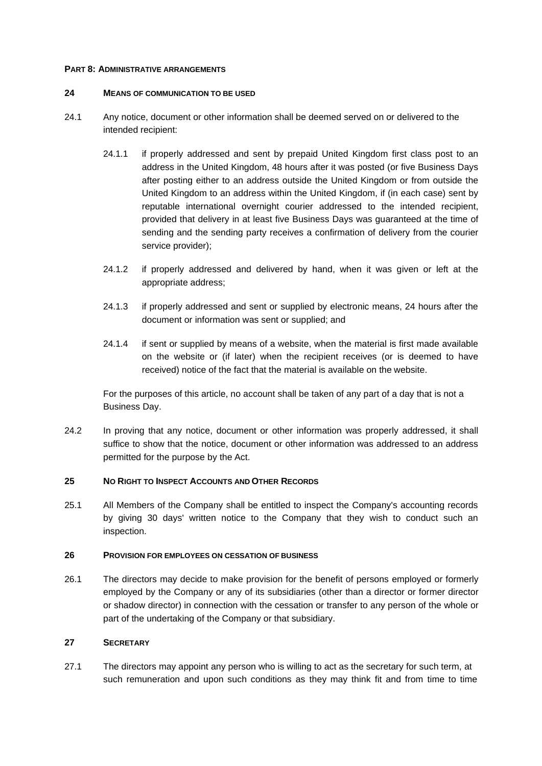#### **PART 8: ADMINISTRATIVE ARRANGEMENTS**

#### **24 MEANS OF COMMUNICATION TO BE USED**

- 24.1 Any notice, document or other information shall be deemed served on or delivered to the intended recipient:
	- 24.1.1 if properly addressed and sent by prepaid United Kingdom first class post to an address in the United Kingdom, 48 hours after it was posted (or five Business Days after posting either to an address outside the United Kingdom or from outside the United Kingdom to an address within the United Kingdom, if (in each case) sent by reputable international overnight courier addressed to the intended recipient, provided that delivery in at least five Business Days was guaranteed at the time of sending and the sending party receives a confirmation of delivery from the courier service provider);
	- 24.1.2 if properly addressed and delivered by hand, when it was given or left at the appropriate address;
	- 24.1.3 if properly addressed and sent or supplied by electronic means, 24 hours after the document or information was sent or supplied; and
	- 24.1.4 if sent or supplied by means of a website, when the material is first made available on the website or (if later) when the recipient receives (or is deemed to have received) notice of the fact that the material is available on the website.

For the purposes of this article, no account shall be taken of any part of a day that is not a Business Day.

24.2 In proving that any notice, document or other information was properly addressed, it shall suffice to show that the notice, document or other information was addressed to an address permitted for the purpose by the Act.

#### **25 NO RIGHT TO INSPECT ACCOUNTS AND OTHER RECORDS**

25.1 All Members of the Company shall be entitled to inspect the Company's accounting records by giving 30 days' written notice to the Company that they wish to conduct such an inspection.

### **26 PROVISION FOR EMPLOYEES ON CESSATION OF BUSINESS**

26.1 The directors may decide to make provision for the benefit of persons employed or formerly employed by the Company or any of its subsidiaries (other than a director or former director or shadow director) in connection with the cessation or transfer to any person of the whole or part of the undertaking of the Company or that subsidiary.

### **27 SECRETARY**

27.1 The directors may appoint any person who is willing to act as the secretary for such term, at such remuneration and upon such conditions as they may think fit and from time to time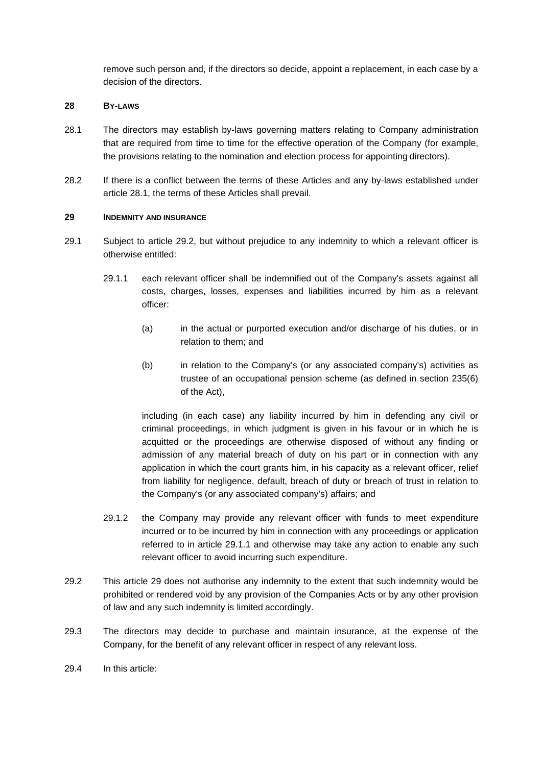remove such person and, if the directors so decide, appoint a replacement, in each case by a decision of the directors.

### **28 BY-LAWS**

- 28.1 The directors may establish by-laws governing matters relating to Company administration that are required from time to time for the effective operation of the Company (for example, the provisions relating to the nomination and election process for appointing directors).
- 28.2 If there is a conflict between the terms of these Articles and any by-laws established under article 28.1, the terms of these Articles shall prevail.

### **29 INDEMNITY AND INSURANCE**

- 29.1 Subject to article 29.2, but without prejudice to any indemnity to which a relevant officer is otherwise entitled:
	- 29.1.1 each relevant officer shall be indemnified out of the Company's assets against all costs, charges, losses, expenses and liabilities incurred by him as a relevant officer:
		- (a) in the actual or purported execution and/or discharge of his duties, or in relation to them; and
		- (b) in relation to the Company's (or any associated company's) activities as trustee of an occupational pension scheme (as defined in section 235(6) of the Act),

including (in each case) any liability incurred by him in defending any civil or criminal proceedings, in which judgment is given in his favour or in which he is acquitted or the proceedings are otherwise disposed of without any finding or admission of any material breach of duty on his part or in connection with any application in which the court grants him, in his capacity as a relevant officer, relief from liability for negligence, default, breach of duty or breach of trust in relation to the Company's (or any associated company's) affairs; and

- 29.1.2 the Company may provide any relevant officer with funds to meet expenditure incurred or to be incurred by him in connection with any proceedings or application referred to in article 29.1.1 and otherwise may take any action to enable any such relevant officer to avoid incurring such expenditure.
- 29.2 This article 29 does not authorise any indemnity to the extent that such indemnity would be prohibited or rendered void by any provision of the Companies Acts or by any other provision of law and any such indemnity is limited accordingly.
- 29.3 The directors may decide to purchase and maintain insurance, at the expense of the Company, for the benefit of any relevant officer in respect of any relevant loss.
- 29.4 In this article: